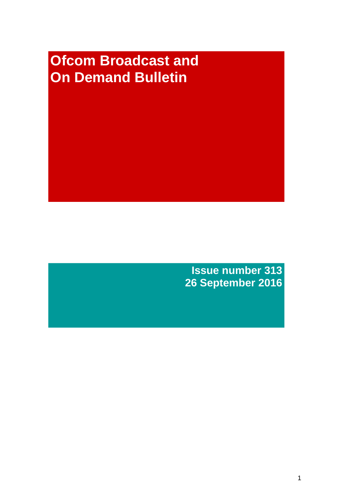# **Ofcom Broadcast and On Demand Bulletin**

**Issue number 313 26 September 2016**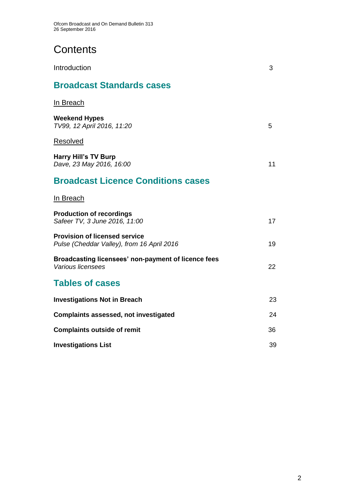# **Contents**

| Introduction                                                                       | 3  |
|------------------------------------------------------------------------------------|----|
| <b>Broadcast Standards cases</b>                                                   |    |
| In Breach                                                                          |    |
| <b>Weekend Hypes</b><br>TV99, 12 April 2016, 11:20                                 | 5. |
| Resolved                                                                           |    |
| <b>Harry Hill's TV Burp</b><br>Dave, 23 May 2016, 16:00                            | 11 |
| <b>Broadcast Licence Conditions cases</b>                                          |    |
| In Breach                                                                          |    |
| <b>Production of recordings</b><br>Safeer TV, 3 June 2016, 11:00                   | 17 |
| <b>Provision of licensed service</b><br>Pulse (Cheddar Valley), from 16 April 2016 | 19 |
| Broadcasting licensees' non-payment of licence fees<br>Various licensees           | 22 |
| <b>Tables of cases</b>                                                             |    |
| <b>Investigations Not in Breach</b>                                                | 23 |
| <b>Complaints assessed, not investigated</b>                                       | 24 |
| <b>Complaints outside of remit</b>                                                 | 36 |
| <b>Investigations List</b>                                                         | 39 |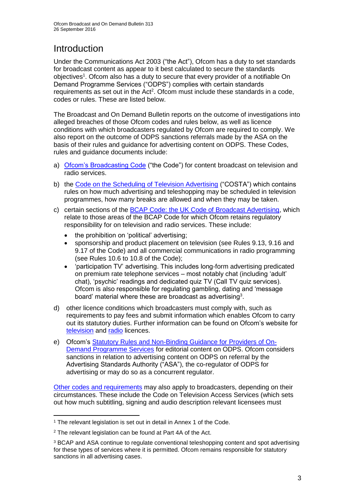# **Introduction**

Under the Communications Act 2003 ("the Act"), Ofcom has a duty to set standards for broadcast content as appear to it best calculated to secure the standards objectives<sup>1</sup>. Ofcom also has a duty to secure that every provider of a notifiable On Demand Programme Services ("ODPS") complies with certain standards requirements as set out in the Act<sup>2</sup>. Ofcom must include these standards in a code, codes or rules. These are listed below.

The Broadcast and On Demand Bulletin reports on the outcome of investigations into alleged breaches of those Ofcom codes and rules below, as well as licence conditions with which broadcasters regulated by Ofcom are required to comply. We also report on the outcome of ODPS sanctions referrals made by the ASA on the basis of their rules and guidance for advertising content on ODPS. These Codes, rules and guidance documents include:

- a) [Ofcom's Broadcasting Code](http://stakeholders.ofcom.org.uk/broadcasting/broadcast-codes/broadcast-code/) ("the Code") for content broadcast on television and radio services.
- b) the [Code on the Scheduling of Television Advertising](http://stakeholders.ofcom.org.uk/binaries/broadcast/other-codes/COSTA_April_2016.pdf) ("COSTA") which contains rules on how much advertising and teleshopping may be scheduled in television programmes, how many breaks are allowed and when they may be taken.
- c) certain sections of the [BCAP Code: the UK Code of Broadcast Advertising,](https://www.cap.org.uk/Advertising-Codes/Broadcast.aspx) which relate to those areas of the BCAP Code for which Ofcom retains regulatory responsibility for on television and radio services. These include:
	- the prohibition on 'political' advertising;
	- sponsorship and product placement on television (see Rules 9.13, 9.16 and 9.17 of the Code) and all commercial communications in radio programming (see Rules 10.6 to 10.8 of the Code);
	- 'participation TV' advertising. This includes long-form advertising predicated on premium rate telephone services – most notably chat (including 'adult' chat), 'psychic' readings and dedicated quiz TV (Call TV quiz services). Ofcom is also responsible for regulating gambling, dating and 'message board' material where these are broadcast as advertising<sup>3</sup>.
- d) other licence conditions which broadcasters must comply with, such as requirements to pay fees and submit information which enables Ofcom to carry out its statutory duties. Further information can be found on Ofcom's website for [television](http://licensing.ofcom.org.uk/tv-broadcast-licences/) and [radio](http://licensing.ofcom.org.uk/radio-broadcast-licensing/) licences.
- e) Ofcom's [Statutory Rules and Non-Binding Guidance for Providers of On-](http://stakeholders.ofcom.org.uk/binaries/broadcast/on-demand/rules-guidance/rules_and_guidance.pdf)[Demand Programme Services](http://stakeholders.ofcom.org.uk/binaries/broadcast/on-demand/rules-guidance/rules_and_guidance.pdf) for editorial content on ODPS. Ofcom considers sanctions in relation to advertising content on ODPS on referral by the Advertising Standards Authority ("ASA"), the co-regulator of ODPS for advertising or may do so as a concurrent regulator.

[Other codes and requirements](http://stakeholders.ofcom.org.uk/broadcasting/broadcast-codes/) may also apply to broadcasters, depending on their circumstances. These include the Code on Television Access Services (which sets out how much subtitling, signing and audio description relevant licensees must

<sup>1</sup> <sup>1</sup> The relevant legislation is set out in detail in Annex 1 of the Code.

<sup>&</sup>lt;sup>2</sup> The relevant legislation can be found at Part 4A of the Act.

<sup>3</sup> BCAP and ASA continue to regulate conventional teleshopping content and spot advertising for these types of services where it is permitted. Ofcom remains responsible for statutory sanctions in all advertising cases.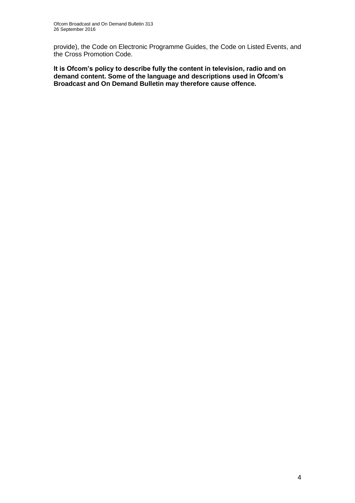provide), the Code on Electronic Programme Guides, the Code on Listed Events, and the Cross Promotion Code.

**It is Ofcom's policy to describe fully the content in television, radio and on demand content. Some of the language and descriptions used in Ofcom's Broadcast and On Demand Bulletin may therefore cause offence.**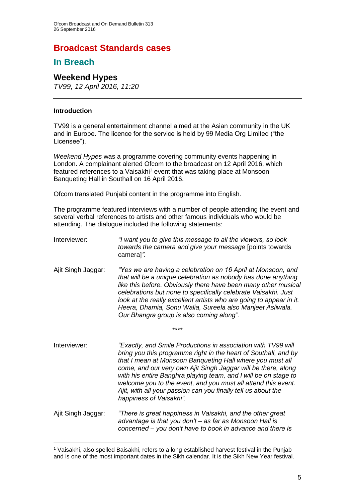# **Broadcast Standards cases**

# **In Breach**

# **Weekend Hypes**

*TV99, 12 April 2016, 11:20*

#### **Introduction**

1

TV99 is a general entertainment channel aimed at the Asian community in the UK and in Europe. The licence for the service is held by 99 Media Org Limited ("the Licensee").

*Weekend Hypes* was a programme covering community events happening in London. A complainant alerted Ofcom to the broadcast on 12 April 2016, which featured references to a Vaisakhi<sup>1</sup> event that was taking place at Monsoon Banqueting Hall in Southall on 16 April 2016.

Ofcom translated Punjabi content in the programme into English.

The programme featured interviews with a number of people attending the event and several verbal references to artists and other famous individuals who would be attending. The dialogue included the following statements:

- Interviewer: *"I want you to give this message to all the viewers, so look towards the camera and give your message* [points towards camera]*".*
- Ajit Singh Jaggar: *"Yes we are having a celebration on 16 April at Monsoon, and that will be a unique celebration as nobody has done anything like this before. Obviously there have been many other musical celebrations but none to specifically celebrate Vaisakhi. Just*  look at the really excellent artists who are going to appear in it. *Heera, Dhamia, Sonu Walia, Sureela also Manjeet Asliwala. Our Bhangra group is also coming along".*

\*\*\*\*

- Interviewer: *"Exactly, and Smile Productions in association with TV99 will bring you this programme right in the heart of Southall, and by that I mean at Monsoon Banqueting Hall where you must all come, and our very own Ajit Singh Jaggar will be there, along with his entire Banghra playing team, and I will be on stage to welcome you to the event, and you must all attend this event. Ajit, with all your passion can you finally tell us about the happiness of Vaisakhi".*
- Ajit Singh Jaggar: *"There is great happiness in Vaisakhi, and the other great advantage is that you don't – as far as Monsoon Hall is concerned – you don't have to book in advance and there is*

<sup>1</sup> Vaisakhi, also spelled Baisakhi, refers to a long established harvest festival in the Punjab and is one of the most important dates in the Sikh calendar. It is the Sikh New Year festival.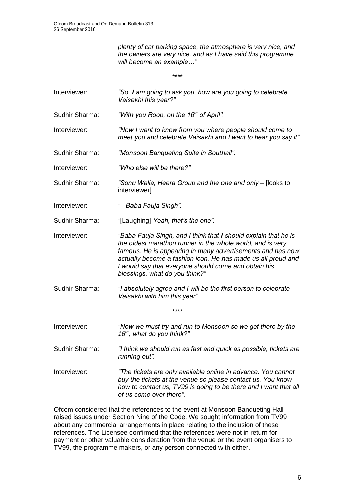*plenty of car parking space, the atmosphere is very nice, and the owners are very nice, and as I have said this programme will become an example…"*

\*\*\*\* Interviewer: *"So, I am going to ask you, how are you going to celebrate Vaisakhi this year?"* Sudhir Sharma: *"With you Roop, on the 16th of April".* Interviewer: *"Now I want to know from you where people should come to meet you and celebrate Vaisakhi and I want to hear you say it".*  Sudhir Sharma: *"Monsoon Banqueting Suite in Southall".* Interviewer: *"Who else will be there?"* Sudhir Sharma: *"Sonu Walia, Heera Group and the one and only –* [looks to interviewer]*"*  Interviewer: *"– Baba Fauja Singh".* Sudhir Sharma: *"*[Laughing] *Yeah, that's the one".* Interviewer: *"Baba Fauja Singh, and I think that I should explain that he is the oldest marathon runner in the whole world, and is very famous. He is appearing in many advertisements and has now actually become a fashion icon. He has made us all proud and I would say that everyone should come and obtain his blessings, what do you think?"* Sudhir Sharma: *"I absolutely agree and I will be the first person to celebrate Vaisakhi with him this year".* \*\*\*\* Interviewer: *"Now we must try and run to Monsoon so we get there by the 16th, what do you think?"* Sudhir Sharma: *"I think we should run as fast and quick as possible, tickets are running out".*  Interviewer: *"The tickets are only available online in advance. You cannot buy the tickets at the venue so please contact us. You know how to contact us, TV99 is going to be there and I want that all of us come over there".*

Ofcom considered that the references to the event at Monsoon Banqueting Hall raised issues under Section Nine of the Code. We sought information from TV99 about any commercial arrangements in place relating to the inclusion of these references. The Licensee confirmed that the references were not in return for payment or other valuable consideration from the venue or the event organisers to TV99, the programme makers, or any person connected with either.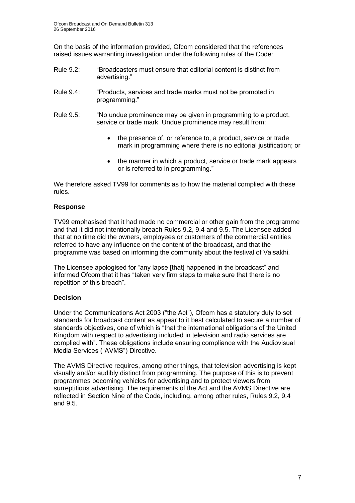On the basis of the information provided, Ofcom considered that the references raised issues warranting investigation under the following rules of the Code:

- Rule 9.2: "Broadcasters must ensure that editorial content is distinct from advertising."
- Rule 9.4: "Products, services and trade marks must not be promoted in programming."
- Rule 9.5: "No undue prominence may be given in programming to a product, service or trade mark. Undue prominence may result from:
	- the presence of, or reference to, a product, service or trade mark in programming where there is no editorial justification; or
	- the manner in which a product, service or trade mark appears or is referred to in programming."

We therefore asked TV99 for comments as to how the material complied with these rules.

### **Response**

TV99 emphasised that it had made no commercial or other gain from the programme and that it did not intentionally breach Rules 9.2, 9.4 and 9.5. The Licensee added that at no time did the owners, employees or customers of the commercial entities referred to have any influence on the content of the broadcast, and that the programme was based on informing the community about the festival of Vaisakhi.

The Licensee apologised for "any lapse [that] happened in the broadcast" and informed Ofcom that it has "taken very firm steps to make sure that there is no repetition of this breach".

### **Decision**

Under the Communications Act 2003 ("the Act"), Ofcom has a statutory duty to set standards for broadcast content as appear to it best calculated to secure a number of standards objectives, one of which is "that the international obligations of the United Kingdom with respect to advertising included in television and radio services are complied with". These obligations include ensuring compliance with the Audiovisual Media Services ("AVMS") Directive.

The AVMS Directive requires, among other things, that television advertising is kept visually and/or audibly distinct from programming. The purpose of this is to prevent programmes becoming vehicles for advertising and to protect viewers from surreptitious advertising. The requirements of the Act and the AVMS Directive are reflected in Section Nine of the Code, including, among other rules, Rules 9.2, 9.4 and 9.5.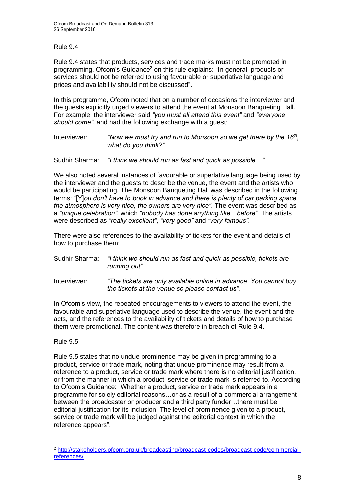### Rule 9.4

Rule 9.4 states that products, services and trade marks must not be promoted in programming. Ofcom's Guidance<sup>2</sup> on this rule explains: "In general, products or services should not be referred to using favourable or superlative language and prices and availability should not be discussed".

In this programme, Ofcom noted that on a number of occasions the interviewer and the guests explicitly urged viewers to attend the event at Monsoon Banqueting Hall. For example, the interviewer said *"you must all attend this event"* and *"everyone should come"*, and had the following exchange with a guest:

Interviewer: "Now we must try and run to Monsoon so we get there by the 16<sup>th</sup>, *what do you think?"*

Sudhir Sharma: *"I think we should run as fast and quick as possible…"*

We also noted several instances of favourable or superlative language being used by the interviewer and the guests to describe the venue, the event and the artists who would be participating. The Monsoon Banqueting Hall was described in the following terms: *"*[Y]*ou don't have to book in advance and there is plenty of car parking space, the atmosphere is very nice, the owners are very nice"*. The event was described as a *"unique celebration"*, which *"nobody has done anything like…before".* The artists were described as *"really excellent"*, *"very good"* and *"very famous"*.

There were also references to the availability of tickets for the event and details of how to purchase them:

| Sudhir Sharma: | "I think we should run as fast and quick as possible, tickets are |
|----------------|-------------------------------------------------------------------|
|                | running out".                                                     |

Interviewer: *"The tickets are only available online in advance. You cannot buy the tickets at the venue so please contact us".*

In Ofcom's view, the repeated encouragements to viewers to attend the event, the favourable and superlative language used to describe the venue, the event and the acts, and the references to the availability of tickets and details of how to purchase them were promotional. The content was therefore in breach of Rule 9.4.

### Rule 9.5

1

Rule 9.5 states that no undue prominence may be given in programming to a product, service or trade mark, noting that undue prominence may result from a reference to a product, service or trade mark where there is no editorial justification, or from the manner in which a product, service or trade mark is referred to. According to Ofcom's Guidance: "Whether a product, service or trade mark appears in a programme for solely editorial reasons…or as a result of a commercial arrangement between the broadcaster or producer and a third party funder…there must be editorial justification for its inclusion. The level of prominence given to a product, service or trade mark will be judged against the editorial context in which the reference appears".

<sup>2</sup> [http://stakeholders.ofcom.org.uk/broadcasting/broadcast-codes/broadcast-code/commercial](http://stakeholders.ofcom.org.uk/broadcasting/broadcast-codes/broadcast-code/commercial-references/)[references/](http://stakeholders.ofcom.org.uk/broadcasting/broadcast-codes/broadcast-code/commercial-references/)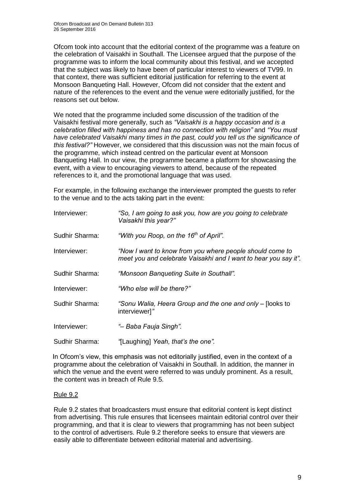Ofcom took into account that the editorial context of the programme was a feature on the celebration of Vaisakhi in Southall. The Licensee argued that the purpose of the programme was to inform the local community about this festival, and we accepted that the subject was likely to have been of particular interest to viewers of TV99. In that context, there was sufficient editorial justification for referring to the event at Monsoon Banqueting Hall. However, Ofcom did not consider that the extent and nature of the references to the event and the venue were editorially justified, for the reasons set out below.

We noted that the programme included some discussion of the tradition of the Vaisakhi festival more generally, such as *"Vaisakhi is a happy occasion and is a celebration filled with happiness and has no connection with religion"* and *"You must have celebrated Vaisakhi many times in the past, could you tell us the significance of this festival?"* However, we considered that this discussion was not the main focus of the programme, which instead centred on the particular event at Monsoon Banqueting Hall. In our view, the programme became a platform for showcasing the event, with a view to encouraging viewers to attend, because of the repeated references to it, and the promotional language that was used.

For example, in the following exchange the interviewer prompted the guests to refer to the venue and to the acts taking part in the event:

| Interviewer:   | "So, I am going to ask you, how are you going to celebrate<br>Vaisakhi this year?"                                          |
|----------------|-----------------------------------------------------------------------------------------------------------------------------|
| Sudhir Sharma: | "With you Roop, on the 16 <sup>th</sup> of April".                                                                          |
| Interviewer:   | "Now I want to know from you where people should come to<br>meet you and celebrate Vaisakhi and I want to hear you say it". |
| Sudhir Sharma: | "Monsoon Banqueting Suite in Southall".                                                                                     |
| Interviewer:   | "Who else will be there?"                                                                                                   |
| Sudhir Sharma: | "Sonu Walia, Heera Group and the one and only – [looks to<br>interviewer]"                                                  |
| Interviewer:   | "- Baba Fauja Singh".                                                                                                       |
| Sudhir Sharma: | "[Laughing] Yeah, that's the one".                                                                                          |

In Ofcom's view, this emphasis was not editorially justified, even in the context of a programme about the celebration of Vaisakhi in Southall. In addition, the manner in which the venue and the event were referred to was unduly prominent. As a result, the content was in breach of Rule 9.5.

### Rule 9.2

Rule 9.2 states that broadcasters must ensure that editorial content is kept distinct from advertising. This rule ensures that licensees maintain editorial control over their programming, and that it is clear to viewers that programming has not been subject to the control of advertisers. Rule 9.2 therefore seeks to ensure that viewers are easily able to differentiate between editorial material and advertising.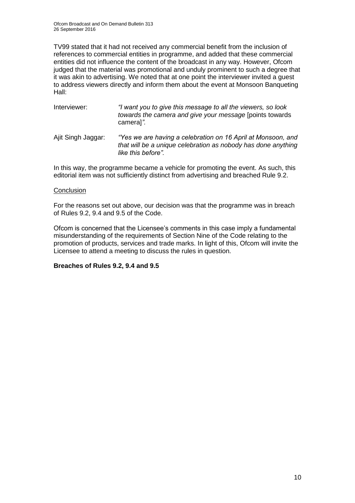TV99 stated that it had not received any commercial benefit from the inclusion of references to commercial entities in programme, and added that these commercial entities did not influence the content of the broadcast in any way. However, Ofcom judged that the material was promotional and unduly prominent to such a degree that it was akin to advertising. We noted that at one point the interviewer invited a guest to address viewers directly and inform them about the event at Monsoon Banqueting Hall:

| Interviewer:       | "I want you to give this message to all the viewers, so look<br>towards the camera and give your message [points towards<br>cameral".               |
|--------------------|-----------------------------------------------------------------------------------------------------------------------------------------------------|
| Ajit Singh Jaggar: | "Yes we are having a celebration on 16 April at Monsoon, and<br>that will be a unique celebration as nobody has done anything<br>like this before". |

In this way, the programme became a vehicle for promoting the event. As such, this editorial item was not sufficiently distinct from advertising and breached Rule 9.2.

#### **Conclusion**

For the reasons set out above, our decision was that the programme was in breach of Rules 9.2, 9.4 and 9.5 of the Code.

Ofcom is concerned that the Licensee's comments in this case imply a fundamental misunderstanding of the requirements of Section Nine of the Code relating to the promotion of products, services and trade marks. In light of this, Ofcom will invite the Licensee to attend a meeting to discuss the rules in question.

### **Breaches of Rules 9.2, 9.4 and 9.5**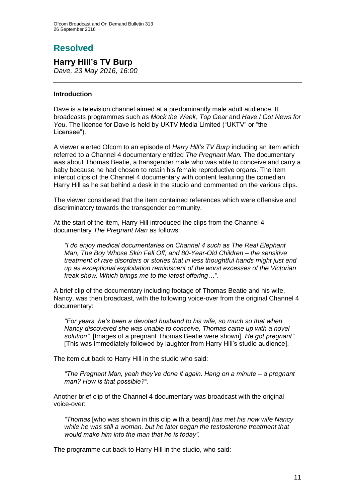# **Resolved**

# **Harry Hill's TV Burp**

*Dave, 23 May 2016, 16:00*

### **Introduction**

Dave is a television channel aimed at a predominantly male adult audience. It broadcasts programmes such as *Mock the Week*, *Top Gear* and *Have I Got News for You*. The licence for Dave is held by UKTV Media Limited ("UKTV" or "the Licensee").

A viewer alerted Ofcom to an episode of *Harry Hill's TV Burp* including an item which referred to a Channel 4 documentary entitled *The Pregnant Man.* The documentary was about Thomas Beatie, a transgender male who was able to conceive and carry a baby because he had chosen to retain his female reproductive organs. The item intercut clips of the Channel 4 documentary with content featuring the comedian Harry Hill as he sat behind a desk in the studio and commented on the various clips.

The viewer considered that the item contained references which were offensive and discriminatory towards the transgender community.

At the start of the item, Harry Hill introduced the clips from the Channel 4 documentary *The Pregnant Man* as follows:

*"I do enjoy medical documentaries on Channel 4 such as The Real Elephant Man, The Boy Whose Skin Fell Off, and 80-Year-Old Children – the sensitive treatment of rare disorders or stories that in less thoughtful hands might just end up as exceptional exploitation reminiscent of the worst excesses of the Victorian freak show. Which brings me to the latest offering…".* 

A brief clip of the documentary including footage of Thomas Beatie and his wife, Nancy, was then broadcast, with the following voice-over from the original Channel 4 documentary:

*"For years, he's been a devoted husband to his wife, so much so that when Nancy discovered she was unable to conceive, Thomas came up with a novel solution".* [Images of a pregnant Thomas Beatie were shown]. *He got pregnant".* [This was immediately followed by laughter from Harry Hill's studio audience].

The item cut back to Harry Hill in the studio who said:

*"The Pregnant Man, yeah they've done it again. Hang on a minute – a pregnant man? How is that possible?".*

Another brief clip of the Channel 4 documentary was broadcast with the original voice-over:

*"Thomas* [who was shown in this clip with a beard] *has met his now wife Nancy while he was still a woman, but he later began the testosterone treatment that would make him into the man that he is today".*

The programme cut back to Harry Hill in the studio, who said: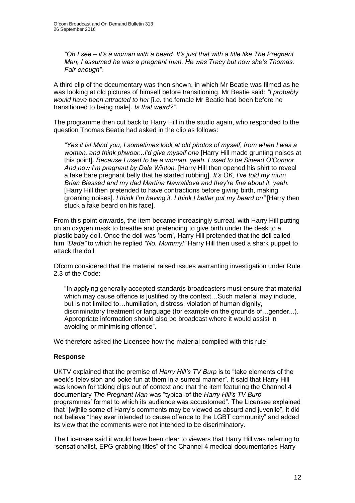*"Oh I see – it's a woman with a beard. It's just that with a title like The Pregnant Man, I assumed he was a pregnant man. He was Tracy but now she's Thomas. Fair enough".*

A third clip of the documentary was then shown, in which Mr Beatie was filmed as he was looking at old pictures of himself before transitioning. Mr Beatie said: *"I probably would have been attracted to her* [i.e. the female Mr Beatie had been before he transitioned to being male]. *Is that weird?"*.

The programme then cut back to Harry Hill in the studio again, who responded to the question Thomas Beatie had asked in the clip as follows:

*"Yes it is! Mind you, I sometimes look at old photos of myself, from when I was a woman, and think phwoar...I'd give myself one* [Harry Hill made grunting noises at this point]. *Because I used to be a woman, yeah. I used to be Sinead O'Connor. And now I'm pregnant by Dale Winton.* [Harry Hill then opened his shirt to reveal a fake bare pregnant belly that he started rubbing]. *It's OK, I've told my mum Brian Blessed and my dad Martina Navratilova and they're fine about it, yeah.*  [Harry Hill then pretended to have contractions before giving birth, making groaning noises]. *I think I'm having it. I think I better put my beard on"* [Harry then stuck a fake beard on his face].

From this point onwards, the item became increasingly surreal, with Harry Hill putting on an oxygen mask to breathe and pretending to give birth under the desk to a plastic baby doll. Once the doll was 'born', Harry Hill pretended that the doll called him *"Dada"* to which he replied *"No. Mummy!"* Harry Hill then used a shark puppet to attack the doll.

Ofcom considered that the material raised issues warranting investigation under Rule 2.3 of the Code:

"In applying generally accepted standards broadcasters must ensure that material which may cause offence is justified by the context…Such material may include, but is not limited to…humiliation, distress, violation of human dignity, discriminatory treatment or language (for example on the grounds of…gender...). Appropriate information should also be broadcast where it would assist in avoiding or minimising offence".

We therefore asked the Licensee how the material complied with this rule.

#### **Response**

UKTV explained that the premise of *Harry Hill's TV Burp* is to "take elements of the week's television and poke fun at them in a surreal manner". It said that Harry Hill was known for taking clips out of context and that the item featuring the Channel 4 documentary *The Pregnant Man* was "typical of the *Harry Hill's TV Burp* programmes' format to which its audience was accustomed". The Licensee explained that "[w]hile some of Harry's comments may be viewed as absurd and juvenile", it did not believe "they ever intended to cause offence to the LGBT community" and added its view that the comments were not intended to be discriminatory.

The Licensee said it would have been clear to viewers that Harry Hill was referring to "sensationalist, EPG-grabbing titles" of the Channel 4 medical documentaries Harry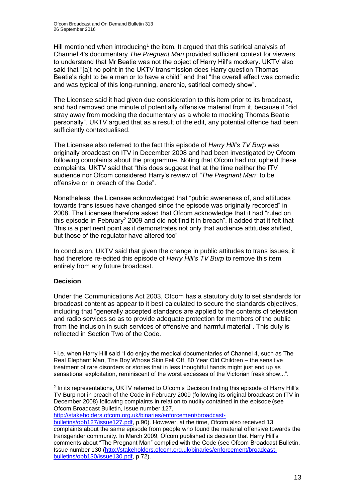Hill mentioned when introducing<sup>1</sup> the item. It argued that this satirical analysis of Channel 4's documentary *The Pregnant Man* provided sufficient context for viewers to understand that Mr Beatie was not the object of Harry Hill's mockery. UKTV also said that "[a]t no point in the UKTV transmission does Harry question Thomas Beatie's right to be a man or to have a child" and that "the overall effect was comedic and was typical of this long-running, anarchic, satirical comedy show".

The Licensee said it had given due consideration to this item prior to its broadcast, and had removed one minute of potentially offensive material from it, because it "did stray away from mocking the documentary as a whole to mocking Thomas Beatie personally". UKTV argued that as a result of the edit, any potential offence had been sufficiently contextualised.

The Licensee also referred to the fact this episode of *Harry Hill's TV Burp* was originally broadcast on ITV in December 2008 and had been investigated by Ofcom following complaints about the programme. Noting that Ofcom had not upheld these complaints, UKTV said that "this does suggest that at the time neither the ITV audience nor Ofcom considered Harry's review of *"The Pregnant Man"* to be offensive or in breach of the Code".

Nonetheless, the Licensee acknowledged that "public awareness of, and attitudes towards trans issues have changed since the episode was originally recorded" in 2008. The Licensee therefore asked that Ofcom acknowledge that it had "ruled on this episode in February<sup>2</sup> 2009 and did not find it in breach". It added that it felt that "this is a pertinent point as it demonstrates not only that audience attitudes shifted, but those of the regulator have altered too"

In conclusion, UKTV said that given the change in public attitudes to trans issues, it had therefore re-edited this episode of *Harry Hill's TV Burp* to remove this item entirely from any future broadcast.

### **Decision**

<u>.</u>

Under the Communications Act 2003, Ofcom has a statutory duty to set standards for broadcast content as appear to it best calculated to secure the standards objectives, including that "generally accepted standards are applied to the contents of television and radio services so as to provide adequate protection for members of the public from the inclusion in such services of offensive and harmful material". This duty is reflected in Section Two of the Code.

[http://stakeholders.ofcom.org.uk/binaries/enforcement/broadcast-](http://stakeholders.ofcom.org.uk/binaries/enforcement/broadcast-bulletins/obb127/issue127.pdf)

<sup>1</sup> i.e. when Harry Hill said "I do enjoy the medical documentaries of Channel 4, such as The Real Elephant Man, The Boy Whose Skin Fell Off, 80 Year Old Children – the sensitive treatment of rare disorders or stories that in less thoughtful hands might just end up as sensational exploitation, reminiscent of the worst excesses of the Victorian freak show...".

<sup>2</sup> In its representations, UKTV referred to Ofcom's Decision finding this episode of Harry Hill's TV Burp not in breach of the Code in February 2009 (following its original broadcast on ITV in December 2008) following complaints in relation to nudity contained in the episode (see Ofcom Broadcast Bulletin, Issue number 127,

[bulletins/obb127/issue127.pdf,](http://stakeholders.ofcom.org.uk/binaries/enforcement/broadcast-bulletins/obb127/issue127.pdf) p.90). However, at the time, Ofcom also received 13 complaints about the same episode from people who found the material offensive towards the transgender community. In March 2009, Ofcom published its decision that Harry Hill's comments about "The Pregnant Man" complied with the Code (see Ofcom Broadcast Bulletin, Issue number 130 [\(http://stakeholders.ofcom.org.uk/binaries/enforcement/broadcast](http://stakeholders.ofcom.org.uk/binaries/enforcement/broadcast-bulletins/obb130/issue130.pdf)[bulletins/obb130/issue130.pdf,](http://stakeholders.ofcom.org.uk/binaries/enforcement/broadcast-bulletins/obb130/issue130.pdf) p.72).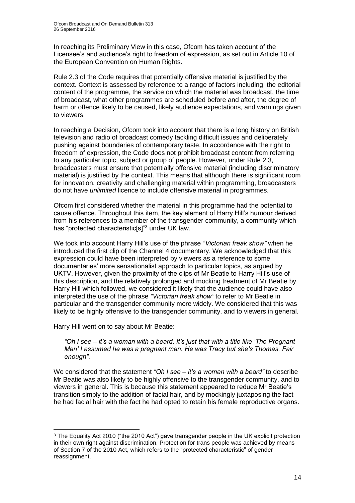In reaching its Preliminary View in this case, Ofcom has taken account of the Licensee's and audience's right to freedom of expression, as set out in Article 10 of the European Convention on Human Rights.

Rule 2.3 of the Code requires that potentially offensive material is justified by the context. Context is assessed by reference to a range of factors including: the editorial content of the programme, the service on which the material was broadcast, the time of broadcast, what other programmes are scheduled before and after, the degree of harm or offence likely to be caused, likely audience expectations, and warnings given to viewers.

In reaching a Decision, Ofcom took into account that there is a long history on British television and radio of broadcast comedy tackling difficult issues and deliberately pushing against boundaries of contemporary taste. In accordance with the right to freedom of expression, the Code does not prohibit broadcast content from referring to any particular topic, subject or group of people. However, under Rule 2.3, broadcasters must ensure that potentially offensive material (including discriminatory material) is justified by the context. This means that although there is significant room for innovation, creativity and challenging material within programming, broadcasters do not have *unlimited* licence to include offensive material in programmes.

Ofcom first considered whether the material in this programme had the potential to cause offence. Throughout this item, the key element of Harry Hill's humour derived from his references to a member of the transgender community, a community which has "protected characteristic[s]"<sup>3</sup> under UK law.

We took into account Harry Hill's use of the phrase *"Victorian freak show"* when he introduced the first clip of the Channel 4 documentary. We acknowledged that this expression could have been interpreted by viewers as a reference to some documentaries' more sensationalist approach to particular topics, as argued by UKTV. However, given the proximity of the clips of Mr Beatie to Harry Hill's use of this description, and the relatively prolonged and mocking treatment of Mr Beatie by Harry Hill which followed, we considered it likely that the audience could have also interpreted the use of the phrase *"Victorian freak show"* to refer to Mr Beatie in particular and the transgender community more widely. We considered that this was likely to be highly offensive to the transgender community, and to viewers in general.

Harry Hill went on to say about Mr Beatie:

1

*"Oh I see – it's a woman with a beard. It's just that with a title like 'The Pregnant Man' I assumed he was a pregnant man. He was Tracy but she's Thomas. Fair enough"*.

We considered that the statement *"Oh I see – it's a woman with a beard"* to describe Mr Beatie was also likely to be highly offensive to the transgender community, and to viewers in general. This is because this statement appeared to reduce Mr Beatie's transition simply to the addition of facial hair, and by mockingly juxtaposing the fact he had facial hair with the fact he had opted to retain his female reproductive organs.

<sup>&</sup>lt;sup>3</sup> The Equality Act 2010 ("the 2010 Act") gave transgender people in the UK explicit protection in their own right against discrimination. Protection for trans people was achieved by means of Section 7 of the 2010 Act, which refers to the "protected characteristic" of gender reassignment.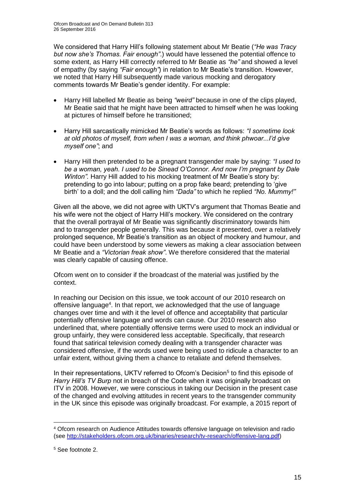We considered that Harry Hill's following statement about Mr Beatie (*"He was Tracy but now she's Thomas. Fair enough"*.) would have lessened the potential offence to some extent, as Harry Hill correctly referred to Mr Beatie as *"he"* and showed a level of empathy (by saying *"Fair enough"*) in relation to Mr Beatie's transition. However, we noted that Harry Hill subsequently made various mocking and derogatory comments towards Mr Beatie's gender identity. For example:

- Harry Hill labelled Mr Beatie as being *"weird"* because in one of the clips played, Mr Beatie said that he might have been attracted to himself when he was looking at pictures of himself before he transitioned;
- Harry Hill sarcastically mimicked Mr Beatie's words as follows: *"I sometime look at old photos of myself, from when I was a woman, and think phwoar...I'd give myself one"*; and
- Harry Hill then pretended to be a pregnant transgender male by saying: *"I used to be a woman, yeah. I used to be Sinead O'Connor. And now I'm pregnant by Dale Winton".* Harry Hill added to his mocking treatment of Mr Beatie's story by: pretending to go into labour; putting on a prop fake beard; pretending to 'give birth' to a doll; and the doll calling him *"Dada"* to which he replied *"No. Mummy!"*

Given all the above, we did not agree with UKTV's argument that Thomas Beatie and his wife were not the object of Harry Hill's mockery. We considered on the contrary that the overall portrayal of Mr Beatie was significantly discriminatory towards him and to transgender people generally. This was because it presented, over a relatively prolonged sequence, Mr Beatie's transition as an object of mockery and humour, and could have been understood by some viewers as making a clear association between Mr Beatie and a *"Victorian freak show"*. We therefore considered that the material was clearly capable of causing offence.

Ofcom went on to consider if the broadcast of the material was justified by the context.

In reaching our Decision on this issue, we took account of our 2010 research on offensive language<sup>4</sup>. In that report, we acknowledged that the use of language changes over time and with it the level of offence and acceptability that particular potentially offensive language and words can cause. Our 2010 research also underlined that, where potentially offensive terms were used to mock an individual or group unfairly, they were considered less acceptable. Specifically, that research found that satirical television comedy dealing with a transgender character was considered offensive, if the words used were being used to ridicule a character to an unfair extent, without giving them a chance to retaliate and defend themselves.

In their representations, UKTV referred to Ofcom's Decision<sup>5</sup> to find this episode of *Harry Hill's TV Burp* not in breach of the Code when it was originally broadcast on ITV in 2008. However, we were conscious in taking our Decision in the present case of the changed and evolving attitudes in recent years to the transgender community in the UK since this episode was originally broadcast. For example, a 2015 report of

1

<sup>4</sup> Ofcom research on Audience Attitudes towards offensive language on television and radio (see [http://stakeholders.ofcom.org.uk/binaries/research/tv-research/offensive-lang.pdf\)](http://stakeholders.ofcom.org.uk/binaries/research/tv-research/offensive-lang.pdf)

<sup>5</sup> See footnote 2.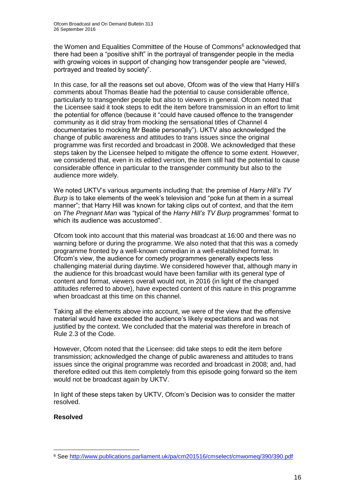the Women and Equalities Committee of the House of Commons<sup>6</sup> acknowledged that there had been a "positive shift" in the portrayal of transgender people in the media with growing voices in support of changing how transgender people are "viewed, portrayed and treated by society".

In this case, for all the reasons set out above, Ofcom was of the view that Harry Hill's comments about Thomas Beatie had the potential to cause considerable offence, particularly to transgender people but also to viewers in general. Ofcom noted that the Licensee said it took steps to edit the item before transmission in an effort to limit the potential for offence (because it "could have caused offence to the transgender community as it did stray from mocking the sensational titles of Channel 4 documentaries to mocking Mr Beatie personally"). UKTV also acknowledged the change of public awareness and attitudes to trans issues since the original programme was first recorded and broadcast in 2008. We acknowledged that these steps taken by the Licensee helped to mitigate the offence to some extent. However, we considered that, even in its edited version, the item still had the potential to cause considerable offence in particular to the transgender community but also to the audience more widely.

We noted UKTV's various arguments including that: the premise of *Harry Hill's TV Burp* is to take elements of the week's television and "poke fun at them in a surreal manner"; that Harry Hill was known for taking clips out of context, and that the item on *The Pregnant Man* was "typical of the *Harry Hill's TV Burp* programmes' format to which its audience was accustomed".

Ofcom took into account that this material was broadcast at 16:00 and there was no warning before or during the programme. We also noted that that this was a comedy programme fronted by a well-known comedian in a well-established format. In Ofcom's view, the audience for comedy programmes generally expects less challenging material during daytime. We considered however that, although many in the audience for this broadcast would have been familiar with its general type of content and format, viewers overall would not, in 2016 (in light of the changed attitudes referred to above), have expected content of this nature in this programme when broadcast at this time on this channel.

Taking all the elements above into account, we were of the view that the offensive material would have exceeded the audience's likely expectations and was not justified by the context. We concluded that the material was therefore in breach of Rule 2.3 of the Code.

However, Ofcom noted that the Licensee: did take steps to edit the item before transmission; acknowledged the change of public awareness and attitudes to trans issues since the original programme was recorded and broadcast in 2008; and, had therefore edited out this item completely from this episode going forward so the item would not be broadcast again by UKTV.

In light of these steps taken by UKTV, Ofcom's Decision was to consider the matter resolved.

### **Resolved**

<sup>1</sup> <sup>6</sup> See<http://www.publications.parliament.uk/pa/cm201516/cmselect/cmwomeq/390/390.pdf>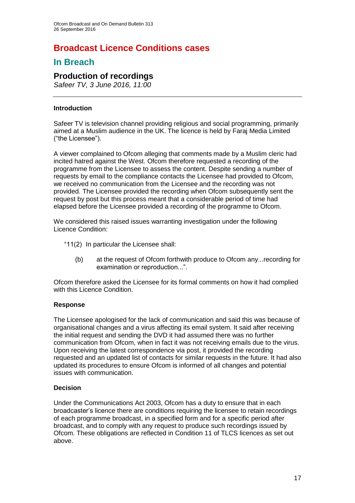# **Broadcast Licence Conditions cases**

# **In Breach**

# **Production of recordings**

*Safeer TV, 3 June 2016, 11:00*

### **Introduction**

Safeer TV is television channel providing religious and social programming, primarily aimed at a Muslim audience in the UK. The licence is held by Faraj Media Limited ("the Licensee").

A viewer complained to Ofcom alleging that comments made by a Muslim cleric had incited hatred against the West. Ofcom therefore requested a recording of the programme from the Licensee to assess the content. Despite sending a number of requests by email to the compliance contacts the Licensee had provided to Ofcom, we received no communication from the Licensee and the recording was not provided. The Licensee provided the recording when Ofcom subsequently sent the request by post but this process meant that a considerable period of time had elapsed before the Licensee provided a recording of the programme to Ofcom.

We considered this raised issues warranting investigation under the following Licence Condition:

- "11(2) In particular the Licensee shall:
	- (b) at the request of Ofcom forthwith produce to Ofcom any...recording for examination or reproduction...".

Ofcom therefore asked the Licensee for its formal comments on how it had complied with this Licence Condition.

### **Response**

The Licensee apologised for the lack of communication and said this was because of organisational changes and a virus affecting its email system. It said after receiving the initial request and sending the DVD it had assumed there was no further communication from Ofcom, when in fact it was not receiving emails due to the virus. Upon receiving the latest correspondence via post, it provided the recording requested and an updated list of contacts for similar requests in the future. It had also updated its procedures to ensure Ofcom is informed of all changes and potential issues with communication.

### **Decision**

Under the Communications Act 2003, Ofcom has a duty to ensure that in each broadcaster's licence there are conditions requiring the licensee to retain recordings of each programme broadcast, in a specified form and for a specific period after broadcast, and to comply with any request to produce such recordings issued by Ofcom. These obligations are reflected in Condition 11 of TLCS licences as set out above.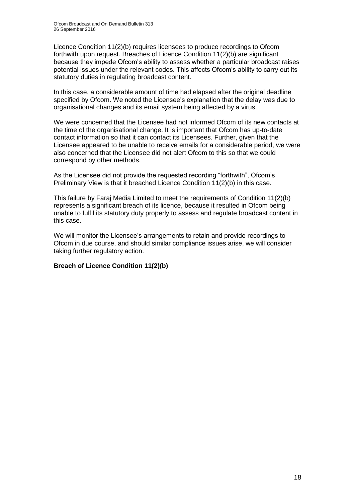Licence Condition 11(2)(b) requires licensees to produce recordings to Ofcom forthwith upon request. Breaches of Licence Condition 11(2)(b) are significant because they impede Ofcom's ability to assess whether a particular broadcast raises potential issues under the relevant codes. This affects Ofcom's ability to carry out its statutory duties in regulating broadcast content.

In this case, a considerable amount of time had elapsed after the original deadline specified by Ofcom. We noted the Licensee's explanation that the delay was due to organisational changes and its email system being affected by a virus.

We were concerned that the Licensee had not informed Ofcom of its new contacts at the time of the organisational change. It is important that Ofcom has up-to-date contact information so that it can contact its Licensees. Further, given that the Licensee appeared to be unable to receive emails for a considerable period, we were also concerned that the Licensee did not alert Ofcom to this so that we could correspond by other methods.

As the Licensee did not provide the requested recording "forthwith", Ofcom's Preliminary View is that it breached Licence Condition 11(2)(b) in this case.

This failure by Faraj Media Limited to meet the requirements of Condition 11(2)(b) represents a significant breach of its licence, because it resulted in Ofcom being unable to fulfil its statutory duty properly to assess and regulate broadcast content in this case.

We will monitor the Licensee's arrangements to retain and provide recordings to Ofcom in due course, and should similar compliance issues arise, we will consider taking further regulatory action.

### **Breach of Licence Condition 11(2)(b)**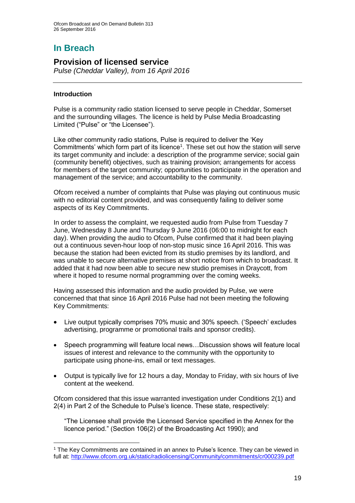# **In Breach**

# **Provision of licensed service**

*Pulse (Cheddar Valley), from 16 April 2016*

### **Introduction**

1

Pulse is a community radio station licensed to serve people in Cheddar, Somerset and the surrounding villages. The licence is held by Pulse Media Broadcasting Limited ("Pulse" or "the Licensee").

Like other community radio stations, Pulse is required to deliver the 'Key Commitments' which form part of its licence<sup>1</sup>. These set out how the station will serve its target community and include: a description of the programme service; social gain (community benefit) objectives, such as training provision; arrangements for access for members of the target community; opportunities to participate in the operation and management of the service; and accountability to the community.

Ofcom received a number of complaints that Pulse was playing out continuous music with no editorial content provided, and was consequently failing to deliver some aspects of its Key Commitments.

In order to assess the complaint, we requested audio from Pulse from Tuesday 7 June, Wednesday 8 June and Thursday 9 June 2016 (06:00 to midnight for each day). When providing the audio to Ofcom, Pulse confirmed that it had been playing out a continuous seven-hour loop of non-stop music since 16 April 2016. This was because the station had been evicted from its studio premises by its landlord, and was unable to secure alternative premises at short notice from which to broadcast. It added that it had now been able to secure new studio premises in Draycott, from where it hoped to resume normal programming over the coming weeks.

Having assessed this information and the audio provided by Pulse, we were concerned that that since 16 April 2016 Pulse had not been meeting the following Key Commitments:

- Live output typically comprises 70% music and 30% speech. ('Speech' excludes advertising, programme or promotional trails and sponsor credits).
- Speech programming will feature local news…Discussion shows will feature local issues of interest and relevance to the community with the opportunity to participate using phone-ins, email or text messages.
- Output is typically live for 12 hours a day, Monday to Friday, with six hours of live content at the weekend.

Ofcom considered that this issue warranted investigation under Conditions 2(1) and 2(4) in Part 2 of the Schedule to Pulse's licence. These state, respectively:

"The Licensee shall provide the Licensed Service specified in the Annex for the licence period." (Section 106(2) of the Broadcasting Act 1990); and

<sup>&</sup>lt;sup>1</sup> The Key Commitments are contained in an annex to Pulse's licence. They can be viewed in full at:<http://www.ofcom.org.uk/static/radiolicensing/Community/commitments/cr000239.pdf>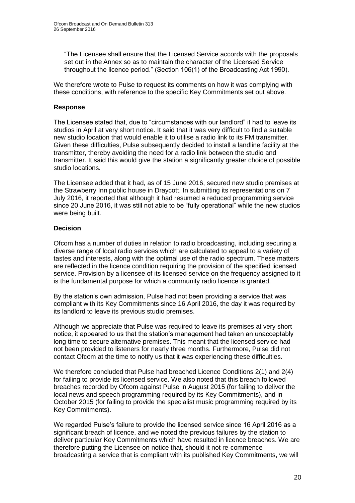"The Licensee shall ensure that the Licensed Service accords with the proposals set out in the Annex so as to maintain the character of the Licensed Service throughout the licence period." (Section 106(1) of the Broadcasting Act 1990).

We therefore wrote to Pulse to request its comments on how it was complying with these conditions, with reference to the specific Key Commitments set out above.

#### **Response**

The Licensee stated that, due to "circumstances with our landlord" it had to leave its studios in April at very short notice. It said that it was very difficult to find a suitable new studio location that would enable it to utilise a radio link to its FM transmitter. Given these difficulties, Pulse subsequently decided to install a landline facility at the transmitter, thereby avoiding the need for a radio link between the studio and transmitter. It said this would give the station a significantly greater choice of possible studio locations.

The Licensee added that it had, as of 15 June 2016, secured new studio premises at the Strawberry Inn public house in Draycott. In submitting its representations on 7 July 2016, it reported that although it had resumed a reduced programming service since 20 June 2016, it was still not able to be "fully operational" while the new studios were being built.

### **Decision**

Ofcom has a number of duties in relation to radio broadcasting, including securing a diverse range of local radio services which are calculated to appeal to a variety of tastes and interests, along with the optimal use of the radio spectrum. These matters are reflected in the licence condition requiring the provision of the specified licensed service. Provision by a licensee of its licensed service on the frequency assigned to it is the fundamental purpose for which a community radio licence is granted.

By the station's own admission, Pulse had not been providing a service that was compliant with its Key Commitments since 16 April 2016, the day it was required by its landlord to leave its previous studio premises.

Although we appreciate that Pulse was required to leave its premises at very short notice, it appeared to us that the station's management had taken an unacceptably long time to secure alternative premises. This meant that the licensed service had not been provided to listeners for nearly three months. Furthermore, Pulse did not contact Ofcom at the time to notify us that it was experiencing these difficulties.

We therefore concluded that Pulse had breached Licence Conditions 2(1) and 2(4) for failing to provide its licensed service. We also noted that this breach followed breaches recorded by Ofcom against Pulse in August 2015 (for failing to deliver the local news and speech programming required by its Key Commitments), and in October 2015 (for failing to provide the specialist music programming required by its Key Commitments).

We regarded Pulse's failure to provide the licensed service since 16 April 2016 as a significant breach of licence, and we noted the previous failures by the station to deliver particular Key Commitments which have resulted in licence breaches. We are therefore putting the Licensee on notice that, should it not re-commence broadcasting a service that is compliant with its published Key Commitments, we will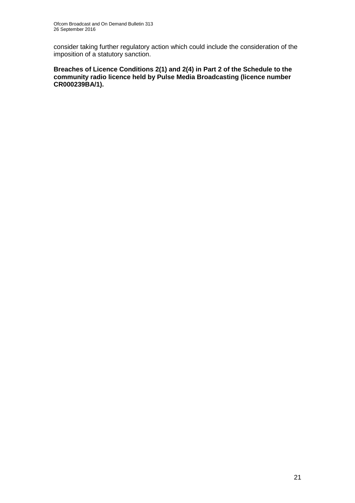consider taking further regulatory action which could include the consideration of the imposition of a statutory sanction.

**Breaches of Licence Conditions 2(1) and 2(4) in Part 2 of the Schedule to the community radio licence held by Pulse Media Broadcasting (licence number CR000239BA/1).**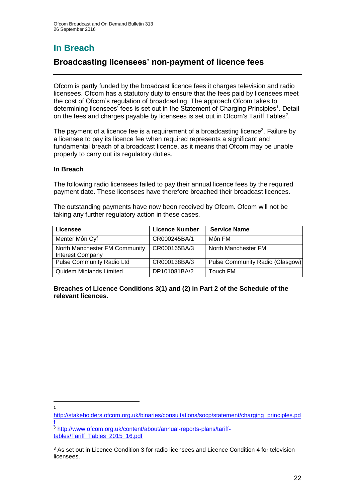# **In Breach**

# **Broadcasting licensees' non-payment of licence fees**

Ofcom is partly funded by the broadcast licence fees it charges television and radio licensees. Ofcom has a statutory duty to ensure that the fees paid by licensees meet the cost of Ofcom's regulation of broadcasting. The approach Ofcom takes to determining licensees' fees is set out in the Statement of Charging Principles<sup>1</sup>. Detail on the fees and charges payable by licensees is set out in Ofcom's Tariff Tables<sup>2</sup>.

The payment of a licence fee is a requirement of a broadcasting licence<sup>3</sup>. Failure by a licensee to pay its licence fee when required represents a significant and fundamental breach of a broadcast licence, as it means that Ofcom may be unable properly to carry out its regulatory duties.

### **In Breach**

The following radio licensees failed to pay their annual licence fees by the required payment date. These licensees have therefore breached their broadcast licences.

The outstanding payments have now been received by Ofcom. Ofcom will not be taking any further regulatory action in these cases.

| Licensee                                                 | <b>Licence Number</b> | <b>Service Name</b>             |
|----------------------------------------------------------|-----------------------|---------------------------------|
| Menter Môn Cyf                                           | CR000245BA/1          | Môn FM                          |
| North Manchester FM Community<br><b>Interest Company</b> | CR000165BA/3          | North Manchester FM             |
| <b>Pulse Community Radio Ltd</b>                         | CR000138BA/3          | Pulse Community Radio (Glasgow) |
| Quidem Midlands Limited                                  | DP101081BA/2          | Touch FM                        |

**Breaches of Licence Conditions 3(1) and (2) in Part 2 of the Schedule of the relevant licences.**

1 1

[http://stakeholders.ofcom.org.uk/binaries/consultations/socp/statement/charging\\_principles.pd](http://stakeholders.ofcom.org.uk/binaries/consultations/socp/statement/charging_principles.pdf) [f](http://stakeholders.ofcom.org.uk/binaries/consultations/socp/statement/charging_principles.pdf)

<sup>2</sup> [http://www.ofcom.org.uk/content/about/annual-reports-plans/tariff](http://www.ofcom.org.uk/content/about/annual-reports-plans/tariff-tables/Tariff_Tables_2015_16.pdf)[tables/Tariff\\_Tables\\_2015\\_16.pdf](http://www.ofcom.org.uk/content/about/annual-reports-plans/tariff-tables/Tariff_Tables_2015_16.pdf)

<sup>&</sup>lt;sup>3</sup> As set out in Licence Condition 3 for radio licensees and Licence Condition 4 for television licensees.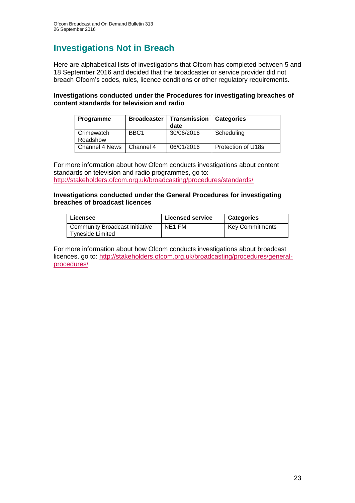# **Investigations Not in Breach**

Here are alphabetical lists of investigations that Ofcom has completed between 5 and 18 September 2016 and decided that the broadcaster or service provider did not breach Ofcom's codes, rules, licence conditions or other regulatory requirements.

### **Investigations conducted under the Procedures for investigating breaches of content standards for television and radio**

| <b>Programme</b>           |                  | <b>Broadcaster   Transmission</b><br>date | <b>Categories</b>  |
|----------------------------|------------------|-------------------------------------------|--------------------|
| Crimewatch                 | BBC <sub>1</sub> | 30/06/2016                                | Scheduling         |
| Roadshow                   |                  |                                           |                    |
| Channel 4 News   Channel 4 |                  | 06/01/2016                                | Protection of U18s |

For more information about how Ofcom conducts investigations about content standards on television and radio programmes, go to: <http://stakeholders.ofcom.org.uk/broadcasting/procedures/standards/>

#### **Investigations conducted under the General Procedures for investigating breaches of broadcast licences**

| Licensee                                           | <b>Licensed service</b> | <b>Categories</b>      |
|----------------------------------------------------|-------------------------|------------------------|
| Community Broadcast Initiative<br>Tyneside Limited | NE1 FM                  | <b>Key Commitments</b> |

For more information about how Ofcom conducts investigations about broadcast licences, go to: [http://stakeholders.ofcom.org.uk/broadcasting/procedures/general](http://stakeholders.ofcom.org.uk/broadcasting/procedures/general-procedures/)[procedures/](http://stakeholders.ofcom.org.uk/broadcasting/procedures/general-procedures/)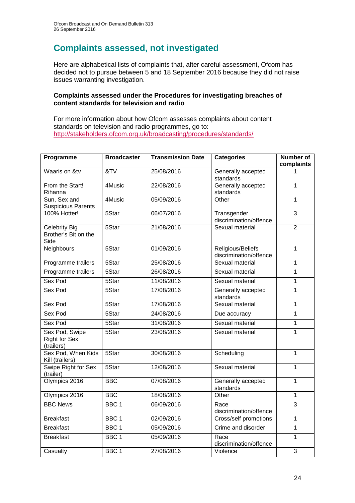# **Complaints assessed, not investigated**

Here are alphabetical lists of complaints that, after careful assessment, Ofcom has decided not to pursue between 5 and 18 September 2016 because they did not raise issues warranting investigation.

#### **Complaints assessed under the Procedures for investigating breaches of content standards for television and radio**

For more information about how Ofcom assesses complaints about content standards on television and radio programmes, go to: <http://stakeholders.ofcom.org.uk/broadcasting/procedures/standards/>

| Programme                                            | <b>Broadcaster</b> | <b>Transmission Date</b> | <b>Categories</b>                           | <b>Number of</b><br>complaints |
|------------------------------------------------------|--------------------|--------------------------|---------------------------------------------|--------------------------------|
| Waaris on &tv                                        | $\overline{87V}$   | 25/08/2016               | Generally accepted<br>standards             |                                |
| From the Start!<br>Rihanna                           | 4Music             | 22/08/2016               | Generally accepted<br>standards             | $\mathbf{1}$                   |
| Sun, Sex and<br><b>Suspicious Parents</b>            | 4Music             | 05/09/2016               | Other                                       | $\overline{1}$                 |
| 100% Hotter!                                         | 5Star              | 06/07/2016               | Transgender<br>discrimination/offence       | $\overline{3}$                 |
| <b>Celebrity Big</b><br>Brother's Bit on the<br>Side | 5Star              | 21/08/2016               | Sexual material                             | $\overline{2}$                 |
| <b>Neighbours</b>                                    | 5Star              | 01/09/2016               | Religious/Beliefs<br>discrimination/offence | 1                              |
| Programme trailers                                   | 5Star              | 25/08/2016               | Sexual material                             | 1                              |
| Programme trailers                                   | 5Star              | 26/08/2016               | Sexual material                             | 1                              |
| Sex Pod                                              | 5Star              | 11/08/2016               | Sexual material                             | $\overline{1}$                 |
| Sex Pod                                              | 5Star              | 17/08/2016               | Generally accepted<br>standards             | 1                              |
| Sex Pod                                              | 5Star              | 17/08/2016               | Sexual material                             | 1                              |
| Sex Pod                                              | 5Star              | 24/08/2016               | Due accuracy                                | 1                              |
| Sex Pod                                              | 5Star              | 31/08/2016               | Sexual material                             | $\overline{1}$                 |
| Sex Pod, Swipe<br><b>Right for Sex</b><br>(trailers) | 5Star              | 23/08/2016               | Sexual material                             | $\overline{1}$                 |
| Sex Pod, When Kids<br>Kill (trailers)                | 5Star              | 30/08/2016               | Scheduling                                  | 1                              |
| Swipe Right for Sex<br>(trailer)                     | 5Star              | 12/08/2016               | Sexual material                             | 1                              |
| Olympics 2016                                        | <b>BBC</b>         | 07/08/2016               | Generally accepted<br>standards             | $\overline{1}$                 |
| Olympics 2016                                        | <b>BBC</b>         | 18/08/2016               | Other                                       | $\overline{1}$                 |
| <b>BBC News</b>                                      | BBC <sub>1</sub>   | 06/09/2016               | Race<br>discrimination/offence              | $\overline{3}$                 |
| <b>Breakfast</b>                                     | BBC <sub>1</sub>   | 02/09/2016               | <b>Cross/self promotions</b>                | $\overline{1}$                 |
| <b>Breakfast</b>                                     | BBC <sub>1</sub>   | 05/09/2016               | Crime and disorder                          | $\overline{1}$                 |
| <b>Breakfast</b>                                     | BBC <sub>1</sub>   | 05/09/2016               | Race<br>discrimination/offence              | 1                              |
| Casualty                                             | BBC <sub>1</sub>   | 27/08/2016               | Violence                                    | $\overline{3}$                 |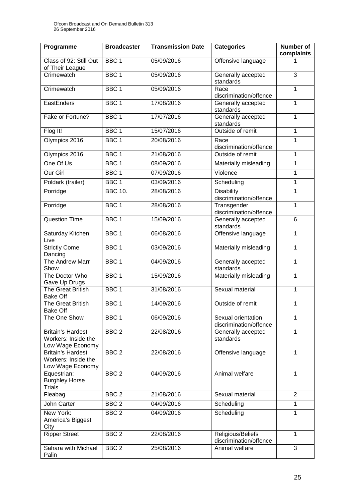| Programme                                                           | <b>Broadcaster</b> | <b>Transmission Date</b> | <b>Categories</b>                            | <b>Number of</b><br>complaints |
|---------------------------------------------------------------------|--------------------|--------------------------|----------------------------------------------|--------------------------------|
| Class of 92: Still Out<br>of Their League                           | BBC <sub>1</sub>   | 05/09/2016               | Offensive language                           |                                |
| Crimewatch                                                          | BBC <sub>1</sub>   | 05/09/2016               | Generally accepted<br>standards              | 3                              |
| Crimewatch                                                          | BBC <sub>1</sub>   | 05/09/2016               | Race<br>discrimination/offence               | 1                              |
| EastEnders                                                          | BBC <sub>1</sub>   | 17/08/2016               | Generally accepted<br>standards              | 1                              |
| Fake or Fortune?                                                    | BBC <sub>1</sub>   | 17/07/2016               | Generally accepted<br>standards              | 1                              |
| Flog It!                                                            | BBC <sub>1</sub>   | 15/07/2016               | Outside of remit                             | 1                              |
| Olympics 2016                                                       | BBC <sub>1</sub>   | 20/08/2016               | Race<br>discrimination/offence               | 1                              |
| Olympics 2016                                                       | BBC <sub>1</sub>   | 21/08/2016               | Outside of remit                             | 1                              |
| One Of Us                                                           | BBC <sub>1</sub>   | 08/09/2016               | Materially misleading                        | 1                              |
| Our Girl                                                            | BBC <sub>1</sub>   | 07/09/2016               | Violence                                     | 1                              |
| Poldark (trailer)                                                   | BBC <sub>1</sub>   | 03/09/2016               | Scheduling                                   | 1                              |
| Porridge                                                            | <b>BBC 10.</b>     | 28/08/2016               | <b>Disability</b><br>discrimination/offence  | 1                              |
| Porridge                                                            | BBC <sub>1</sub>   | 28/08/2016               | Transgender<br>discrimination/offence        | 1                              |
| <b>Question Time</b>                                                | BBC <sub>1</sub>   | 15/09/2016               | Generally accepted<br>standards              | 6                              |
| Saturday Kitchen<br>Live                                            | BBC <sub>1</sub>   | 06/08/2016               | Offensive language                           | 1                              |
| <b>Strictly Come</b><br>Dancing                                     | BBC <sub>1</sub>   | 03/09/2016               | Materially misleading                        | $\mathbf{1}$                   |
| The Andrew Marr<br>Show                                             | BBC <sub>1</sub>   | 04/09/2016               | Generally accepted<br>standards              | 1                              |
| The Doctor Who<br>Gave Up Drugs                                     | BBC <sub>1</sub>   | 15/09/2016               | Materially misleading                        | 1                              |
| <b>The Great British</b><br><b>Bake Off</b>                         | BBC <sub>1</sub>   | 31/08/2016               | Sexual material                              | 1                              |
| <b>The Great British</b><br><b>Bake Off</b>                         | BBC <sub>1</sub>   | 14/09/2016               | Outside of remit                             | 1                              |
| The One Show                                                        | BBC <sub>1</sub>   | 06/09/2016               | Sexual orientation<br>discrimination/offence | 1                              |
| <b>Britain's Hardest</b><br>Workers: Inside the<br>Low Wage Economy | BBC <sub>2</sub>   | 22/08/2016               | Generally accepted<br>standards              | 1                              |
| <b>Britain's Hardest</b><br>Workers: Inside the<br>Low Wage Economy | BBC <sub>2</sub>   | 22/08/2016               | Offensive language                           | $\mathbf{1}$                   |
| Equestrian:<br><b>Burghley Horse</b><br><b>Trials</b>               | BBC <sub>2</sub>   | 04/09/2016               | Animal welfare                               | 1                              |
| Fleabag                                                             | BBC <sub>2</sub>   | 21/08/2016               | Sexual material                              | $\overline{2}$                 |
| John Carter                                                         | BBC <sub>2</sub>   | 04/09/2016               | Scheduling                                   | 1                              |
| New York:<br>America's Biggest<br>City                              | BBC <sub>2</sub>   | 04/09/2016               | Scheduling                                   | 1                              |
| <b>Ripper Street</b>                                                | BBC <sub>2</sub>   | 22/08/2016               | Religious/Beliefs<br>discrimination/offence  | 1                              |
| Sahara with Michael<br>Palin                                        | BBC <sub>2</sub>   | 25/08/2016               | Animal welfare                               | 3                              |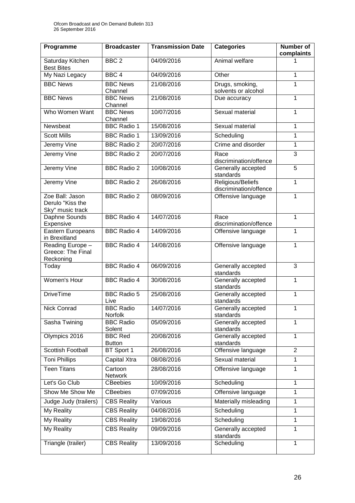| Programme                                               | <b>Broadcaster</b>              | <b>Transmission Date</b> | <b>Categories</b>                           | Number of<br>complaints |
|---------------------------------------------------------|---------------------------------|--------------------------|---------------------------------------------|-------------------------|
| Saturday Kitchen<br><b>Best Bites</b>                   | BBC <sub>2</sub>                | 04/09/2016               | Animal welfare                              | 1                       |
| My Nazi Legacy                                          | BBC <sub>4</sub>                | 04/09/2016               | Other                                       | 1                       |
| <b>BBC News</b>                                         | <b>BBC News</b><br>Channel      | 21/08/2016               | Drugs, smoking,<br>solvents or alcohol      | 1                       |
| <b>BBC News</b>                                         | <b>BBC</b> News<br>Channel      | 21/08/2016               | Due accuracy                                | 1                       |
| Who Women Want                                          | <b>BBC News</b><br>Channel      | 10/07/2016               | Sexual material                             | 1                       |
| Newsbeat                                                | <b>BBC Radio 1</b>              | 15/08/2016               | Sexual material                             | 1                       |
| <b>Scott Mills</b>                                      | <b>BBC Radio 1</b>              | 13/09/2016               | Scheduling                                  | 1                       |
| Jeremy Vine                                             | <b>BBC Radio 2</b>              | 20/07/2016               | Crime and disorder                          | 1                       |
| Jeremy Vine                                             | <b>BBC Radio 2</b>              | 20/07/2016               | Race<br>discrimination/offence              | $\overline{3}$          |
| Jeremy Vine                                             | <b>BBC Radio 2</b>              | 10/08/2016               | Generally accepted<br>standards             | $\overline{5}$          |
| Jeremy Vine                                             | <b>BBC Radio 2</b>              | 26/08/2016               | Religious/Beliefs<br>discrimination/offence | 1                       |
| Zoe Ball: Jason<br>Derulo "Kiss the<br>Sky" music track | <b>BBC Radio 2</b>              | 08/09/2016               | Offensive language                          | 1                       |
| Daphne Sounds<br>Expensive                              | <b>BBC Radio 4</b>              | 14/07/2016               | Race<br>discrimination/offence              | 1                       |
| Eastern Europeans<br>in Brexitland                      | <b>BBC Radio 4</b>              | 14/09/2016               | Offensive language                          | 1                       |
| Reading Europe -<br>Greece: The Final<br>Reckoning      | <b>BBC Radio 4</b>              | 14/08/2016               | Offensive language                          | 1                       |
| Today                                                   | <b>BBC Radio 4</b>              | 06/09/2016               | Generally accepted<br>standards             | $\overline{3}$          |
| Women's Hour                                            | <b>BBC Radio 4</b>              | 30/08/2016               | Generally accepted<br>standards             | 1                       |
| <b>DriveTime</b>                                        | <b>BBC Radio 5</b><br>Live      | 25/08/2016               | Generally accepted<br>standards             | 1                       |
| <b>Nick Conrad</b>                                      | <b>BBC Radio</b><br>Norfolk     | 14/07/2016               | Generally accepted<br>standards             | 1                       |
| Sasha Twining                                           | <b>BBC</b> Radio<br>Solent      | 05/09/2016               | Generally accepted<br>standards             | 1                       |
| Olympics 2016                                           | <b>BBC Red</b><br><b>Button</b> | 20/08/2016               | Generally accepted<br>standards             | 1                       |
| Scottish Football                                       | BT Sport 1                      | 26/08/2016               | Offensive language                          | $\overline{2}$          |
| <b>Toni Phillips</b>                                    | Capital Xtra                    | 08/08/2016               | Sexual material                             | 1                       |
| <b>Teen Titans</b>                                      | Cartoon<br><b>Network</b>       | 28/08/2016               | Offensive language                          | 1                       |
| Let's Go Club                                           | <b>CBeebies</b>                 | 10/09/2016               | Scheduling                                  | 1                       |
| Show Me Show Me                                         | <b>CBeebies</b>                 | 07/09/2016               | Offensive language                          | 1                       |
| Judge Judy (trailers)                                   | <b>CBS Reality</b>              | Various                  | Materially misleading                       | 1                       |
| My Reality                                              | <b>CBS Reality</b>              | 04/08/2016               | Scheduling                                  | 1                       |
| <b>My Reality</b>                                       | <b>CBS Reality</b>              | 19/08/2016               | Scheduling                                  | 1                       |
| My Reality                                              | <b>CBS Reality</b>              | 09/09/2016               | Generally accepted<br>standards             | 1                       |
| Triangle (trailer)                                      | <b>CBS Reality</b>              | 13/09/2016               | Scheduling                                  | 1                       |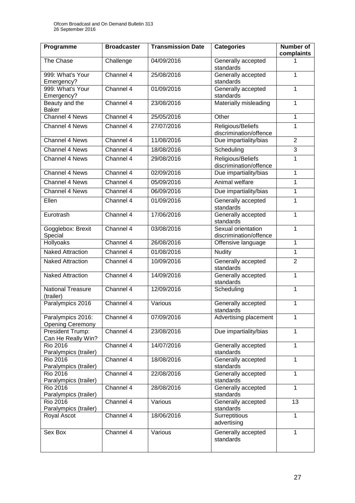| Programme                                    | <b>Broadcaster</b> | <b>Transmission Date</b> | <b>Categories</b>                            | <b>Number of</b><br>complaints |
|----------------------------------------------|--------------------|--------------------------|----------------------------------------------|--------------------------------|
| The Chase                                    | Challenge          | 04/09/2016               | Generally accepted<br>standards              |                                |
| 999: What's Your<br>Emergency?               | Channel 4          | 25/08/2016               | Generally accepted<br>standards              | 1                              |
| 999: What's Your<br>Emergency?               | Channel 4          | 01/09/2016               | Generally accepted<br>standards              | 1                              |
| Beauty and the<br><b>Baker</b>               | Channel 4          | 23/08/2016               | Materially misleading                        | 1                              |
| Channel 4 News                               | Channel 4          | 25/05/2016               | Other                                        | 1                              |
| <b>Channel 4 News</b>                        | Channel 4          | 27/07/2016               | Religious/Beliefs<br>discrimination/offence  | 1                              |
| Channel 4 News                               | Channel 4          | 11/08/2016               | Due impartiality/bias                        | $\overline{2}$                 |
| <b>Channel 4 News</b>                        | Channel 4          | 18/08/2016               | Scheduling                                   | $\overline{3}$                 |
| Channel 4 News                               | Channel 4          | 29/08/2016               | Religious/Beliefs<br>discrimination/offence  | 1                              |
| <b>Channel 4 News</b>                        | Channel 4          | 02/09/2016               | Due impartiality/bias                        | 1                              |
| Channel 4 News                               | Channel 4          | 05/09/2016               | Animal welfare                               | 1                              |
| Channel 4 News                               | Channel 4          | 06/09/2016               | Due impartiality/bias                        | 1                              |
| Ellen                                        | Channel 4          | 01/09/2016               | Generally accepted<br>standards              | 1                              |
| Eurotrash                                    | Channel 4          | 17/06/2016               | Generally accepted<br>standards              | 1                              |
| Gogglebox: Brexit<br>Special                 | Channel 4          | 03/08/2016               | Sexual orientation<br>discrimination/offence | $\mathbf 1$                    |
| <b>Hollyoaks</b>                             | Channel 4          | 26/08/2016               | Offensive language                           | 1                              |
| <b>Naked Attraction</b>                      | Channel $4$        | 01/08/2016               | <b>Nudity</b>                                | 1                              |
| <b>Naked Attraction</b>                      | Channel 4          | 10/09/2016               | Generally accepted<br>standards              | $\overline{2}$                 |
| <b>Naked Attraction</b>                      | Channel 4          | 14/09/2016               | Generally accepted<br>standards              | 1                              |
| <b>National Treasure</b><br>(trailer)        | Channel 4          | 12/09/2016               | Scheduling                                   | 1                              |
| Paralympics 2016                             | Channel 4          | Various                  | Generally accepted<br>standards              | 1                              |
| Paralympics 2016:<br><b>Opening Ceremony</b> | Channel 4          | 07/09/2016               | Advertising placement                        | 1                              |
| President Trump:<br>Can He Really Win?       | Channel 4          | 23/08/2016               | Due impartiality/bias                        | 1                              |
| <b>Rio 2016</b><br>Paralympics (trailer)     | Channel 4          | 14/07/2016               | Generally accepted<br>standards              | 1                              |
| <b>Rio 2016</b><br>Paralympics (trailer)     | Channel 4          | 18/08/2016               | Generally accepted<br>standards              | 1                              |
| <b>Rio 2016</b><br>Paralympics (trailer)     | Channel 4          | 22/08/2016               | Generally accepted<br>standards              | 1                              |
| <b>Rio 2016</b><br>Paralympics (trailer)     | Channel 4          | 28/08/2016               | Generally accepted<br>standards              | $\mathbf{1}$                   |
| <b>Rio 2016</b><br>Paralympics (trailer)     | Channel 4          | Various                  | Generally accepted<br>standards              | 13                             |
| Royal Ascot                                  | Channel 4          | 18/06/2016               | Surreptitious<br>advertising                 | 1                              |
| Sex Box                                      | Channel 4          | Various                  | Generally accepted<br>standards              | 1                              |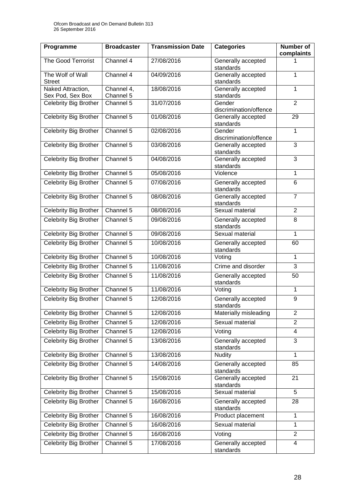| Programme                             | <b>Broadcaster</b>      | <b>Transmission Date</b> | <b>Categories</b>                | <b>Number of</b><br>complaints |
|---------------------------------------|-------------------------|--------------------------|----------------------------------|--------------------------------|
| <b>The Good Terrorist</b>             | Channel 4               | 27/08/2016               | Generally accepted<br>standards  |                                |
| The Wolf of Wall<br><b>Street</b>     | Channel 4               | 04/09/2016               | Generally accepted<br>standards  | 1                              |
| Naked Attraction,<br>Sex Pod, Sex Box | Channel 4,<br>Channel 5 | 18/08/2016               | Generally accepted<br>standards  | 1                              |
| Celebrity Big Brother                 | Channel 5               | 31/07/2016               | Gender<br>discrimination/offence | $\overline{2}$                 |
| Celebrity Big Brother                 | Channel 5               | 01/08/2016               | Generally accepted<br>standards  | 29                             |
| <b>Celebrity Big Brother</b>          | Channel 5               | 02/08/2016               | Gender<br>discrimination/offence | 1                              |
| <b>Celebrity Big Brother</b>          | Channel 5               | 03/08/2016               | Generally accepted<br>standards  | $\overline{3}$                 |
| <b>Celebrity Big Brother</b>          | Channel 5               | 04/08/2016               | Generally accepted<br>standards  | 3                              |
| Celebrity Big Brother                 | Channel 5               | 05/08/2016               | Violence                         | 1                              |
| <b>Celebrity Big Brother</b>          | Channel 5               | 07/08/2016               | Generally accepted<br>standards  | 6                              |
| Celebrity Big Brother                 | Channel 5               | 08/08/2016               | Generally accepted<br>standards  | $\overline{7}$                 |
| Celebrity Big Brother                 | Channel 5               | 08/08/2016               | Sexual material                  | $\overline{2}$                 |
| <b>Celebrity Big Brother</b>          | Channel 5               | 09/08/2016               | Generally accepted<br>standards  | 8                              |
| <b>Celebrity Big Brother</b>          | Channel 5               | 09/08/2016               | Sexual material                  | 1                              |
| <b>Celebrity Big Brother</b>          | Channel 5               | 10/08/2016               | Generally accepted<br>standards  | 60                             |
| Celebrity Big Brother                 | Channel 5               | 10/08/2016               | Voting                           | $\mathbf{1}$                   |
| Celebrity Big Brother                 | Channel 5               | 11/08/2016               | Crime and disorder               | $\overline{3}$                 |
| <b>Celebrity Big Brother</b>          | Channel 5               | 11/08/2016               | Generally accepted<br>standards  | 50                             |
| Celebrity Big Brother                 | Channel 5               | 11/08/2016               | Voting                           | 1                              |
| Celebrity Big Brother                 | Channel 5               | 12/08/2016               | Generally accepted<br>standards  | 9                              |
| Celebrity Big Brother                 | Channel 5               | 12/08/2016               | Materially misleading            | $\overline{2}$                 |
| Celebrity Big Brother                 | Channel 5               | 12/08/2016               | Sexual material                  | $\overline{2}$                 |
| <b>Celebrity Big Brother</b>          | Channel 5               | 12/08/2016               | Voting                           | 4                              |
| <b>Celebrity Big Brother</b>          | Channel 5               | 13/08/2016               | Generally accepted<br>standards  | 3                              |
| Celebrity Big Brother                 | Channel 5               | 13/08/2016               | <b>Nudity</b>                    | 1                              |
| <b>Celebrity Big Brother</b>          | Channel 5               | 14/08/2016               | Generally accepted<br>standards  | 85                             |
| <b>Celebrity Big Brother</b>          | Channel 5               | 15/08/2016               | Generally accepted<br>standards  | 21                             |
| Celebrity Big Brother                 | Channel 5               | 15/08/2016               | Sexual material                  | 5                              |
| <b>Celebrity Big Brother</b>          | Channel 5               | 16/08/2016               | Generally accepted<br>standards  | 28                             |
| <b>Celebrity Big Brother</b>          | Channel 5               | 16/08/2016               | Product placement                | 1                              |
| Celebrity Big Brother                 | Channel 5               | 16/08/2016               | Sexual material                  | 1                              |
| Celebrity Big Brother                 | Channel 5               | 16/08/2016               | Voting                           | $\overline{2}$                 |
| Celebrity Big Brother                 | Channel 5               | 17/08/2016               | Generally accepted<br>standards  | $\overline{\mathbf{4}}$        |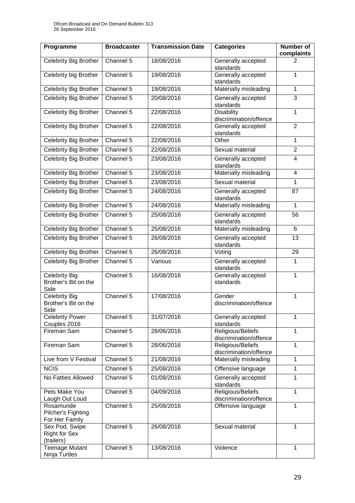| Programme                                            | <b>Broadcaster</b> | <b>Transmission Date</b> | <b>Categories</b>                           | <b>Number of</b><br>complaints |
|------------------------------------------------------|--------------------|--------------------------|---------------------------------------------|--------------------------------|
| <b>Celebrity Big Brother</b>                         | Channel 5          | 18/08/2016               | Generally accepted<br>standards             | 2                              |
| Celebrity big Brother                                | Channel 5          | 19/08/2016               | Generally accepted<br>standards             | $\mathbf{1}$                   |
| Celebrity Big Brother                                | Channel 5          | 19/08/2016               | Materially misleading                       | 1                              |
| Celebrity Big Brother                                | Channel 5          | 20/08/2016               | Generally accepted<br>standards             | 3                              |
| <b>Celebrity Big Brother</b>                         | Channel 5          | 22/08/2016               | <b>Disability</b><br>discrimination/offence | 1                              |
| Celebrity Big Brother                                | Channel 5          | 22/08/2016               | Generally accepted<br>standards             | $\overline{2}$                 |
| Celebrity Big Brother                                | Channel 5          | 22/08/2016               | Other                                       | $\mathbf{1}$                   |
| <b>Celebrity Big Brother</b>                         | Channel 5          | 22/08/2016               | Sexual material                             | $\overline{2}$                 |
| Celebrity Big Brother                                | Channel 5          | 23/08/2016               | Generally accepted<br>standards             | 4                              |
| <b>Celebrity Big Brother</b>                         | Channel 5          | 23/08/2016               | Materially misleading                       | $\overline{4}$                 |
| Celebrity Big Brother                                | Channel 5          | 23/08/2016               | Sexual material                             | 1                              |
| Celebrity Big Brother                                | Channel 5          | 24/08/2016               | Generally accepted<br>standards             | 87                             |
| Celebrity Big Brother                                | Channel $5$        | 24/08/2016               | Materially misleading                       | $\mathbf{1}$                   |
| Celebrity Big Brother                                | Channel 5          | 25/08/2016               | Generally accepted<br>standards             | 56                             |
| Celebrity Big Brother                                | Channel 5          | 25/08/2016               | Materially misleading                       | 6                              |
| Celebrity Big Brother                                | Channel 5          | 26/08/2016               | Generally accepted<br>standards             | 13                             |
| Celebrity Big Brother                                | Channel 5          | 26/08/2016               | Voting                                      | 29                             |
| <b>Celebrity Big Brother</b>                         | Channel 5          | Various                  | Generally accepted<br>standards             | 1                              |
| <b>Celebrity Big</b><br>Brother's Bit on the<br>Side | Channel 5          | 16/08/2016               | Generally accepted<br>standards             | 1                              |
| Celebrity Big<br>Brother's Bit on the<br>Side        | Channel 5          | 17/08/2016               | Gender<br>discrimination/offence            | 1                              |
| <b>Celebrity Power</b><br>Couples 2016               | Channel 5          | 31/07/2016               | Generally accepted<br>standards             | 1                              |
| Fireman Sam                                          | Channel 5          | 28/06/2016               | Religious/Beliefs<br>discrimination/offence | 1                              |
| Fireman Sam                                          | Channel 5          | 28/06/2016               | Religious/Beliefs<br>discrimination/offence | 1                              |
| Live from V Festival                                 | Channel 5          | 21/08/2016               | Materially misleading                       | $\mathbf{1}$                   |
| <b>NCIS</b>                                          | Channel 5          | 25/08/2016               | Offensive language                          | 1                              |
| No Fatties Allowed                                   | Channel 5          | 01/08/2016               | Generally accepted<br>standards             | 1                              |
| Pets Make You<br>Laugh Out Loud                      | Channel 5          | 04/09/2016               | Religious/Beliefs<br>discrimination/offence | 1                              |
| Rosamunde<br>Pilcher's Fighting<br>For Her Family    | Channel 5          | 25/08/2016               | Offensive language                          | 1                              |
| Sex Pod, Swipe<br><b>Right for Sex</b><br>(trailers) | Channel 5          | 26/08/2016               | Sexual material                             | $\mathbf{1}$                   |
| <b>Teenage Mutant</b><br>Ninja Turtles               | Channel 5          | 13/08/2016               | Violence                                    | 1                              |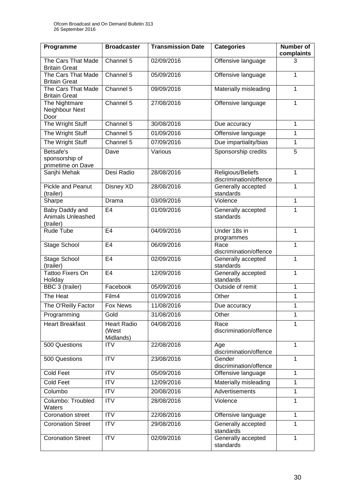| Programme                                        | <b>Broadcaster</b>                       | <b>Transmission Date</b> | <b>Categories</b>                           | <b>Number of</b><br>complaints |
|--------------------------------------------------|------------------------------------------|--------------------------|---------------------------------------------|--------------------------------|
| The Cars That Made<br><b>Britain Great</b>       | Channel 5                                | 02/09/2016               | Offensive language                          | 3                              |
| The Cars That Made<br><b>Britain Great</b>       | Channel 5                                | 05/09/2016               | Offensive language                          | 1                              |
| The Cars That Made<br><b>Britain Great</b>       | Channel 5                                | 09/09/2016               | Materially misleading                       | 1                              |
| The Nightmare<br>Neighbour Next<br>Door          | Channel 5                                | 27/08/2016               | Offensive language                          | 1                              |
| The Wright Stuff                                 | Channel 5                                | 30/08/2016               | Due accuracy                                | 1                              |
| The Wright Stuff                                 | Channel 5                                | 01/09/2016               | Offensive language                          | 1                              |
| The Wright Stuff                                 | Channel 5                                | 07/09/2016               | Due impartiality/bias                       | 1                              |
| Betsafe's<br>sponsorship of<br>primetime on Dave | Dave                                     | Various                  | Sponsorship credits                         | 5                              |
| Sanjhi Mehak                                     | Desi Radio                               | 28/08/2016               | Religious/Beliefs<br>discrimination/offence | 1                              |
| Pickle and Peanut<br>(trailer)                   | Disney XD                                | 28/08/2016               | Generally accepted<br>standards             | 1                              |
| Sharpe                                           | Drama                                    | 03/09/2016               | Violence                                    | 1                              |
| Baby Daddy and<br>Animals Unleashed<br>(trailer) | E <sub>4</sub>                           | 01/09/2016               | Generally accepted<br>standards             | 1                              |
| Rude Tube                                        | E <sub>4</sub>                           | 04/09/2016               | Under 18s in<br>programmes                  | 1                              |
| Stage School                                     | E <sub>4</sub>                           | 06/09/2016               | Race<br>discrimination/offence              | 1                              |
| <b>Stage School</b><br>(trailer)                 | E <sub>4</sub>                           | 02/09/2016               | Generally accepted<br>standards             | 1                              |
| <b>Tattoo Fixers On</b><br>Holiday               | E <sub>4</sub>                           | 12/09/2016               | Generally accepted<br>standards             | 1                              |
| BBC 3 (trailer)                                  | Facebook                                 | 05/09/2016               | Outside of remit                            | 1                              |
| The Heat                                         | Film4                                    | 01/09/2016               | Other                                       | 1                              |
| The O'Reilly Factor                              | Fox News                                 | 11/08/2016               | Due accuracy                                | 1                              |
| Programming                                      | Gold                                     | 31/08/2016               | Other                                       | 1                              |
| <b>Heart Breakfast</b>                           | <b>Heart Radio</b><br>(West<br>Midlands) | 04/08/2016               | Race<br>discrimination/offence              | 1                              |
| 500 Questions                                    | <b>ITV</b>                               | 22/08/2016               | Age<br>discrimination/offence               | 1                              |
| 500 Questions                                    | <b>ITV</b>                               | 23/08/2016               | Gender<br>discrimination/offence            | 1                              |
| Cold Feet                                        | <b>ITV</b>                               | 05/09/2016               | Offensive language                          | 1                              |
| <b>Cold Feet</b>                                 | <b>ITV</b>                               | 12/09/2016               | Materially misleading                       | 1                              |
| Columbo                                          | <b>ITV</b>                               | 20/08/2016               | Advertisements                              | 1                              |
| Columbo: Troubled<br>Waters                      | <b>ITV</b>                               | 28/08/2016               | Violence                                    | 1                              |
| <b>Coronation street</b>                         | ITV                                      | 22/08/2016               | Offensive language                          | 1                              |
| <b>Coronation Street</b>                         | <b>ITV</b>                               | 29/08/2016               | Generally accepted<br>standards             | 1                              |
| <b>Coronation Street</b>                         | <b>ITV</b>                               | 02/09/2016               | Generally accepted<br>standards             | 1                              |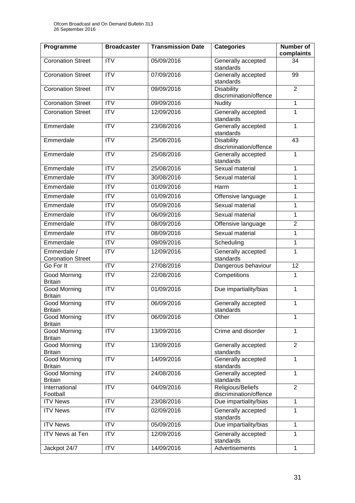| Programme                               | <b>Broadcaster</b> | <b>Transmission Date</b> | <b>Categories</b>                           | <b>Number of</b><br>complaints |
|-----------------------------------------|--------------------|--------------------------|---------------------------------------------|--------------------------------|
| <b>Coronation Street</b>                | <b>ITV</b>         | 05/09/2016               | Generally accepted<br>standards             | 34                             |
| <b>Coronation Street</b>                | <b>ITV</b>         | 07/09/2016               | Generally accepted<br>standards             | 99                             |
| <b>Coronation Street</b>                | <b>ITV</b>         | 09/09/2016               | Disability<br>discrimination/offence        | $\overline{2}$                 |
| <b>Coronation Street</b>                | <b>ITV</b>         | 09/09/2016               | Nudity                                      | 1                              |
| <b>Coronation Street</b>                | <b>ITV</b>         | 12/09/2016               | Generally accepted<br>standards             | 1                              |
| Emmerdale                               | <b>ITV</b>         | 23/08/2016               | Generally accepted<br>standards             | 1                              |
| Emmerdale                               | <b>ITV</b>         | 25/08/2016               | <b>Disability</b><br>discrimination/offence | 43                             |
| Emmerdale                               | <b>ITV</b>         | 25/08/2016               | Generally accepted<br>standards             | 1                              |
| Emmerdale                               | <b>ITV</b>         | 25/08/2016               | Sexual material                             | 1                              |
| Emmerdale                               | <b>ITV</b>         | 30/08/2016               | Sexual material                             | 1                              |
| Emmerdale                               | <b>ITV</b>         | 01/09/2016               | Harm                                        | 1                              |
| Emmerdale                               | <b>ITV</b>         | 01/09/2016               | Offensive language                          | 1                              |
| Emmerdale                               | <b>ITV</b>         | 05/09/2016               | Sexual material                             | 1                              |
| Emmerdale                               | <b>ITV</b>         | 06/09/2016               | Sexual material                             | 1                              |
| Emmerdale                               | $\overline{IV}$    | 08/09/2016               | Offensive language                          | $\overline{2}$                 |
| Emmerdale                               | <b>ITV</b>         | 08/09/2016               | Sexual material                             | 1                              |
| Emmerdale                               | <b>ITV</b>         | 09/09/2016               | Scheduling                                  | 1                              |
| Emmerdale /<br><b>Coronation Street</b> | <b>ITV</b>         | 12/09/2016               | Generally accepted<br>standards             | 1                              |
| Go For It                               | <b>ITV</b>         | 27/08/2016               | Dangerous behaviour                         | 12                             |
| Good Morning<br><b>Britain</b>          | <b>ITV</b>         | 22/08/2016               | Competitions                                | 1                              |
| Good Morning<br><b>Britain</b>          | <b>ITV</b>         | 01/09/2016               | Due impartiality/bias                       | 1                              |
| <b>Good Morning</b><br><b>Britain</b>   | <b>ITV</b>         | 06/09/2016               | Generally accepted<br>standards             | 1                              |
| <b>Good Morning</b><br><b>Britain</b>   | <b>ITV</b>         | 06/09/2016               | Other                                       | 1                              |
| <b>Good Morning</b><br><b>Britain</b>   | <b>ITV</b>         | 13/09/2016               | Crime and disorder                          | 1                              |
| <b>Good Morning</b><br><b>Britain</b>   | <b>ITV</b>         | 13/09/2016               | Generally accepted<br>standards             | $\overline{2}$                 |
| <b>Good Morning</b><br><b>Britain</b>   | $\overline{IV}$    | 14/09/2016               | Generally accepted<br>standards             | 1                              |
| <b>Good Morning</b><br><b>Britain</b>   | <b>ITV</b>         | 24/08/2016               | Generally accepted<br>standards             | 1                              |
| International<br>Football               | <b>ITV</b>         | 04/09/2016               | Religious/Beliefs<br>discrimination/offence | $\overline{2}$                 |
| <b>ITV News</b>                         | <b>ITV</b>         | 23/08/2016               | Due impartiality/bias                       | 1                              |
| <b>ITV News</b>                         | <b>ITV</b>         | 02/09/2016               | Generally accepted<br>standards             | 1                              |
| <b>ITV News</b>                         | <b>ITV</b>         | 05/09/2016               | Due impartiality/bias                       | 1                              |
| <b>ITV News at Ten</b>                  | <b>ITV</b>         | 12/09/2016               | Generally accepted<br>standards             | 1                              |
| Jackpot 24/7                            | <b>ITV</b>         | 14/09/2016               | Advertisements                              | $\mathbf{1}$                   |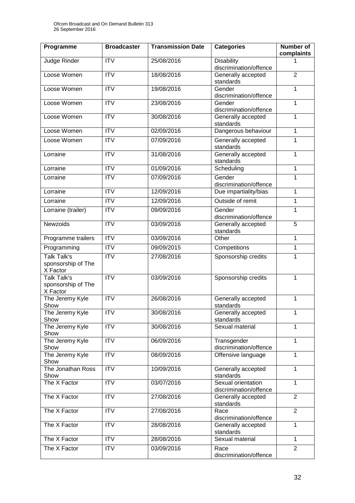| Programme                                            | <b>Broadcaster</b>     | <b>Transmission Date</b> | <b>Categories</b>                            | <b>Number of</b><br>complaints |
|------------------------------------------------------|------------------------|--------------------------|----------------------------------------------|--------------------------------|
| Judge Rinder                                         | <b>ITV</b>             | 25/08/2016               | <b>Disability</b><br>discrimination/offence  |                                |
| Loose Women                                          | <b>ITV</b>             | 18/08/2016               | Generally accepted<br>standards              | $\overline{2}$                 |
| Loose Women                                          | $\overline{IV}$        | 19/08/2016               | Gender<br>discrimination/offence             | 1                              |
| Loose Women                                          | <b>ITV</b>             | 23/08/2016               | Gender<br>discrimination/offence             | 1                              |
| Loose Women                                          | <b>ITV</b>             | 30/08/2016               | Generally accepted<br>standards              | 1                              |
| Loose Women                                          | $\overline{IV}$        | 02/09/2016               | Dangerous behaviour                          | 1                              |
| Loose Women                                          | <b>ITV</b>             | 07/09/2016               | Generally accepted<br>standards              | 1                              |
| Lorraine                                             | $\overline{IV}$        | 31/08/2016               | Generally accepted<br>standards              | 1                              |
| Lorraine                                             | <b>ITV</b>             | 01/09/2016               | Scheduling                                   | 1                              |
| Lorraine                                             | $\overline{IV}$        | 07/09/2016               | Gender                                       | 1                              |
|                                                      |                        |                          | discrimination/offence                       |                                |
| Lorraine                                             | <b>ITV</b>             | 12/09/2016               | Due impartiality/bias                        | 1                              |
| Lorraine                                             | <b>ITV</b>             | 12/09/2016               | Outside of remit                             | 1                              |
| Lorraine (trailer)                                   | <b>ITV</b>             | 09/09/2016               | Gender<br>discrimination/offence             | 1                              |
| <b>Newzoids</b>                                      | $\overline{IV}$        | 03/09/2016               | Generally accepted<br>standards              | $\overline{5}$                 |
| Programme trailers                                   | $\overline{\text{TV}}$ | 03/09/2016               | Other                                        | 1                              |
| Programming                                          | <b>ITV</b>             | 09/09/2015               | Competitions                                 | $\mathbf 1$                    |
| <b>Talk Talk's</b><br>sponsorship of The<br>X Factor | <b>ITV</b>             | 27/08/2016               | Sponsorship credits                          | 1                              |
| <b>Talk Talk's</b><br>sponsorship of The<br>X Factor | $\overline{IV}$        | 03/09/2016               | Sponsorship credits                          | 1                              |
| The Jeremy Kyle<br>Show                              | $\overline{IV}$        | 26/08/2016               | Generally accepted<br>standards              | 1                              |
| The Jeremy Kyle<br>Show                              | <b>ITV</b>             | 30/08/2016               | Generally accepted<br>standards              | 1                              |
| The Jeremy Kyle<br>Show                              | $\overline{IV}$        | 30/08/2016               | Sexual material                              | 1                              |
| The Jeremy Kyle<br>Show                              | <b>ITV</b>             | 06/09/2016               | Transgender<br>discrimination/offence        | $\mathbf{1}$                   |
| The Jeremy Kyle<br>Show                              | <b>ITV</b>             | 08/09/2016               | Offensive language                           | 1                              |
| The Jonathan Ross<br>Show                            | <b>ITV</b>             | 10/09/2016               | Generally accepted<br>standards              | 1                              |
| The X Factor                                         | <b>ITV</b>             | 03/07/2016               | Sexual orientation<br>discrimination/offence | $\mathbf{1}$                   |
| The X Factor                                         | <b>ITV</b>             | 27/08/2016               | Generally accepted<br>standards              | $\overline{2}$                 |
| The X Factor                                         | <b>ITV</b>             | 27/08/2016               | Race<br>discrimination/offence               | $\overline{2}$                 |
| The X Factor                                         | <b>ITV</b>             | 28/08/2016               | Generally accepted<br>standards              | 1                              |
| The X Factor                                         | <b>ITV</b>             | 28/08/2016               | Sexual material                              | $\mathbf{1}$                   |
| The X Factor                                         | <b>ITV</b>             | 03/09/2016               | Race<br>discrimination/offence               | $\overline{2}$                 |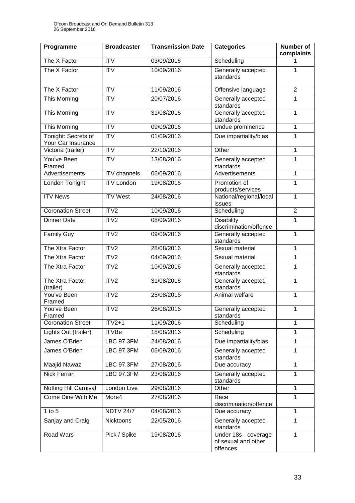| Programme                                 | <b>Broadcaster</b>  | <b>Transmission Date</b> | <b>Categories</b>                                       | <b>Number of</b><br>complaints |
|-------------------------------------------|---------------------|--------------------------|---------------------------------------------------------|--------------------------------|
| The X Factor                              | <b>ITV</b>          | 03/09/2016               | Scheduling                                              | 1                              |
| The X Factor                              | <b>ITV</b>          | 10/09/2016               | Generally accepted<br>standards                         | 1                              |
| The X Factor                              | <b>ITV</b>          | 11/09/2016               | Offensive language                                      | $\overline{2}$                 |
| This Morning                              | $\overline{IV}$     | 20/07/2016               | Generally accepted<br>standards                         | 1                              |
| <b>This Morning</b>                       | <b>ITV</b>          | 31/08/2016               | Generally accepted<br>standards                         | 1                              |
| This Morning                              | <b>ITV</b>          | 09/09/2016               | Undue prominence                                        | 1                              |
| Tonight: Secrets of<br>Your Car Insurance | <b>ITV</b>          | 01/09/2016               | Due impartiality/bias                                   | 1                              |
| Victoria (trailer)                        | <b>ITV</b>          | 22/10/2016               | Other                                                   | 1                              |
| You've Been<br>Framed                     | <b>ITV</b>          | 13/08/2016               | Generally accepted<br>standards                         | 1                              |
| <b>Advertisements</b>                     | <b>ITV</b> channels | 06/09/2016               | Advertisements                                          | 1                              |
| London Tonight                            | <b>ITV London</b>   | 19/08/2016               | Promotion of<br>products/services                       | 1                              |
| <b>ITV News</b>                           | <b>ITV</b> West     | 24/08/2016               | National/regional/local<br>issues                       | 1                              |
| <b>Coronation Street</b>                  | ITV2                | 10/09/2016               | Scheduling                                              | $\overline{2}$                 |
| <b>Dinner Date</b>                        | ITV2                | 08/09/2016               | <b>Disability</b><br>discrimination/offence             | 1                              |
| <b>Family Guy</b>                         | ITV2                | 09/09/2016               | Generally accepted<br>standards                         | 1                              |
| The Xtra Factor                           | ITV2                | 28/08/2016               | Sexual material                                         | 1                              |
| The Xtra Factor                           | ITV2                | 04/09/2016               | Sexual material                                         | 1                              |
| The Xtra Factor                           | ITV2                | 10/09/2016               | Generally accepted<br>standards                         | 1                              |
| The Xtra Factor<br>(trailer)              | ITV2                | 31/08/2016               | Generally accepted<br>standards                         | 1                              |
| You've Been<br>Framed                     | ITV2                | 25/08/2016               | Animal welfare                                          | 1                              |
| You've Been<br>Framed                     | ITV <sub>2</sub>    | 26/08/2016               | Generally accepted<br>standards                         | $\mathbf 1$                    |
| <b>Coronation Street</b>                  | $ITV2+1$            | 11/09/2016               | Scheduling                                              | 1                              |
| Lights Out (trailer)                      | <b>ITVBe</b>        | 18/08/2016               | Scheduling                                              | 1                              |
| James O'Brien                             | <b>LBC 97.3FM</b>   | 24/08/2016               | Due impartiality/bias                                   | 1                              |
| James O'Brien                             | <b>LBC 97.3FM</b>   | 06/09/2016               | Generally accepted<br>standards                         | 1                              |
| Maajid Nawaz                              | <b>LBC 97.3FM</b>   | 27/08/2016               | Due accuracy                                            | 1                              |
| <b>Nick Ferrari</b>                       | <b>LBC 97.3FM</b>   | 23/08/2016               | Generally accepted<br>standards                         | 1                              |
| Notting Hill Carnival                     | London Live         | 29/08/2016               | Other                                                   | 1                              |
| Come Dine With Me                         | More4               | 27/08/2016               | Race<br>discrimination/offence                          | 1                              |
| 1 to $5$                                  | <b>NDTV 24/7</b>    | 04/08/2016               | Due accuracy                                            | 1                              |
| Sanjay and Craig                          | Nicktoons           | 22/05/2016               | Generally accepted<br>standards                         | 1                              |
| Road Wars                                 | Pick / Spike        | 19/08/2016               | Under 18s - coverage<br>of sexual and other<br>offences | 1                              |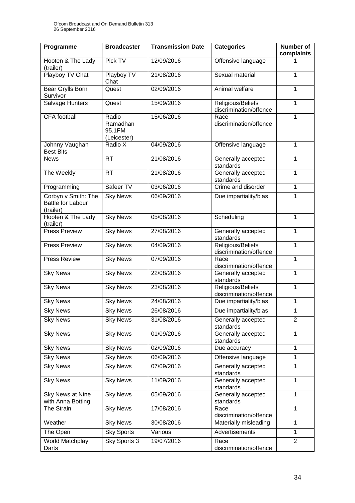| Programme                                                    | <b>Broadcaster</b>                         | <b>Transmission Date</b> | <b>Categories</b>                           | <b>Number of</b><br>complaints |
|--------------------------------------------------------------|--------------------------------------------|--------------------------|---------------------------------------------|--------------------------------|
| Hooten & The Lady<br>(trailer)                               | Pick TV                                    | 12/09/2016               | Offensive language                          |                                |
| Playboy TV Chat                                              | Playboy TV<br>Chat                         | 21/08/2016               | Sexual material                             | 1                              |
| <b>Bear Grylls Born</b><br>Survivor                          | Quest                                      | 02/09/2016               | Animal welfare                              | 1                              |
| Salvage Hunters                                              | Quest                                      | 15/09/2016               | Religious/Beliefs<br>discrimination/offence | $\overline{1}$                 |
| <b>CFA</b> football                                          | Radio<br>Ramadhan<br>95.1FM<br>(Leicester) | 15/06/2016               | Race<br>discrimination/offence              | 1                              |
| Johnny Vaughan<br><b>Best Bits</b>                           | Radio X                                    | 04/09/2016               | Offensive language                          | 1                              |
| <b>News</b>                                                  | RT                                         | 21/08/2016               | Generally accepted<br>standards             | 1                              |
| The Weekly                                                   | <b>RT</b>                                  | 21/08/2016               | Generally accepted<br>standards             | 1                              |
| Programming                                                  | Safeer TV                                  | 03/06/2016               | Crime and disorder                          | 1                              |
| Corbyn v Smith: The<br><b>Battle for Labour</b><br>(trailer) | <b>Sky News</b>                            | 06/09/2016               | Due impartiality/bias                       | 1                              |
| Hooten & The Lady<br>(trailer)                               | <b>Sky News</b>                            | 05/08/2016               | Scheduling                                  | $\mathbf{1}$                   |
| Press Preview                                                | <b>Sky News</b>                            | 27/08/2016               | Generally accepted<br>standards             | 1                              |
| <b>Press Preview</b>                                         | <b>Sky News</b>                            | 04/09/2016               | Religious/Beliefs<br>discrimination/offence | 1                              |
| Press Review                                                 | <b>Sky News</b>                            | 07/09/2016               | Race<br>discrimination/offence              | 1                              |
| <b>Sky News</b>                                              | <b>Sky News</b>                            | 22/08/2016               | Generally accepted<br>standards             | 1                              |
| <b>Sky News</b>                                              | <b>Sky News</b>                            | 23/08/2016               | Religious/Beliefs<br>discrimination/offence | 1                              |
| <b>Sky News</b>                                              | <b>Sky News</b>                            | 24/08/2016               | Due impartiality/bias                       | 1                              |
| <b>Sky News</b>                                              | <b>Sky News</b>                            | 26/08/2016               | Due impartiality/bias                       | 1                              |
| <b>Sky News</b>                                              | <b>Sky News</b>                            | 31/08/2016               | Generally accepted<br>standards             | $\overline{2}$                 |
| <b>Sky News</b>                                              | <b>Sky News</b>                            | 01/09/2016               | Generally accepted<br>standards             | $\mathbf{1}$                   |
| <b>Sky News</b>                                              | <b>Sky News</b>                            | 02/09/2016               | Due accuracy                                | 1                              |
| <b>Sky News</b>                                              | <b>Sky News</b>                            | 06/09/2016               | Offensive language                          | 1                              |
| <b>Sky News</b>                                              | <b>Sky News</b>                            | 07/09/2016               | Generally accepted<br>standards             | 1                              |
| <b>Sky News</b>                                              | <b>Sky News</b>                            | 11/09/2016               | Generally accepted<br>standards             | 1                              |
| Sky News at Nine<br>with Anna Botting                        | <b>Sky News</b>                            | 05/09/2016               | Generally accepted<br>standards             | 1                              |
| <b>The Strain</b>                                            | <b>Sky News</b>                            | 17/08/2016               | Race<br>discrimination/offence              | 1                              |
| Weather                                                      | <b>Sky News</b>                            | 30/08/2016               | Materially misleading                       | 1                              |
| The Open                                                     | <b>Sky Sports</b>                          | Various                  | Advertisements                              | 1                              |
| World Matchplay<br>Darts                                     | Sky Sports 3                               | 19/07/2016               | Race<br>discrimination/offence              | $\overline{2}$                 |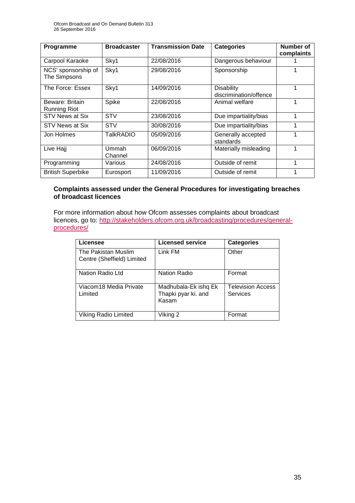| Programme                              | <b>Broadcaster</b> | <b>Transmission Date</b> | <b>Categories</b>                           | Number of<br>complaints |
|----------------------------------------|--------------------|--------------------------|---------------------------------------------|-------------------------|
| Carpool Karaoke                        | Sky1               | 22/08/2016               | Dangerous behaviour                         |                         |
| NCS' sponsorship of<br>The Simpsons    | Sky1               | 29/08/2016               | Sponsorship                                 |                         |
| The Force: Essex                       | Sky1               | 14/09/2016               | <b>Disability</b><br>discrimination/offence |                         |
| Beware: Britain<br><b>Running Riot</b> | Spike              | 22/08/2016               | Animal welfare                              |                         |
| <b>STV News at Six</b>                 | <b>STV</b>         | 23/08/2016               | Due impartiality/bias                       | 1                       |
| STV News at Six                        | <b>STV</b>         | 30/08/2016               | Due impartiality/bias                       |                         |
| Jon Holmes                             | <b>TalkRADIO</b>   | 05/09/2016               | Generally accepted<br>standards             |                         |
| Live Hajj                              | Ummah<br>Channel   | 06/09/2016               | Materially misleading                       |                         |
| Programming                            | Various            | 24/08/2016               | Outside of remit                            |                         |
| <b>British Superbike</b>               | Eurosport          | 11/09/2016               | Outside of remit                            |                         |

### **Complaints assessed under the General Procedures for investigating breaches of broadcast licences**

For more information about how Ofcom assesses complaints about broadcast licences, go to: [http://stakeholders.ofcom.org.uk/broadcasting/procedures/general](http://stakeholders.ofcom.org.uk/broadcasting/procedures/general-procedures/)[procedures/](http://stakeholders.ofcom.org.uk/broadcasting/procedures/general-procedures/)

| Licensee                                          | <b>Licensed service</b>                              | <b>Categories</b>                    |
|---------------------------------------------------|------------------------------------------------------|--------------------------------------|
| The Pakistan Muslim<br>Centre (Sheffield) Limited | Link FM                                              | Other                                |
| Nation Radio Ltd                                  | <b>Nation Radio</b>                                  | Format                               |
| Viacom18 Media Private<br>Limited                 | Madhubala-Ek ishq Ek<br>Thapki pyar ki. and<br>Kasam | <b>Television Access</b><br>Services |
| <b>Viking Radio Limited</b>                       | Viking 2                                             | Format                               |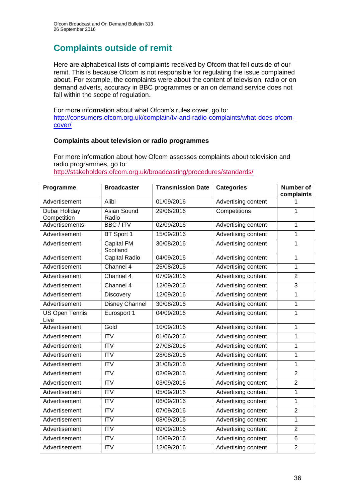# **Complaints outside of remit**

Here are alphabetical lists of complaints received by Ofcom that fell outside of our remit. This is because Ofcom is not responsible for regulating the issue complained about. For example, the complaints were about the content of television, radio or on demand adverts, accuracy in BBC programmes or an on demand service does not fall within the scope of regulation.

For more information about what Ofcom's rules cover, go to: [http://consumers.ofcom.org.uk/complain/tv-and-radio-complaints/what-does-ofcom](http://consumers.ofcom.org.uk/complain/tv-and-radio-complaints/what-does-ofcom-cover/)[cover/](http://consumers.ofcom.org.uk/complain/tv-and-radio-complaints/what-does-ofcom-cover/)

### **Complaints about television or radio programmes**

For more information about how Ofcom assesses complaints about television and radio programmes, go to:

<http://stakeholders.ofcom.org.uk/broadcasting/procedures/standards/>

| Programme                     | <b>Broadcaster</b>            | <b>Transmission Date</b> | <b>Categories</b>   | <b>Number of</b><br>complaints |
|-------------------------------|-------------------------------|--------------------------|---------------------|--------------------------------|
| Advertisement                 | Alibi                         | 01/09/2016               | Advertising content | 1                              |
| Dubai Holiday<br>Competition  | <b>Asian Sound</b><br>Radio   | 29/06/2016               | Competitions        | $\mathbf{1}$                   |
| <b>Advertisements</b>         | <b>BBC/ITV</b>                | 02/09/2016               | Advertising content | 1                              |
| Advertisement                 | BT Sport 1                    | 15/09/2016               | Advertising content | $\mathbf{1}$                   |
| Advertisement                 | <b>Capital FM</b><br>Scotland | 30/08/2016               | Advertising content | $\mathbf{1}$                   |
| Advertisement                 | <b>Capital Radio</b>          | 04/09/2016               | Advertising content | $\mathbf{1}$                   |
| Advertisement                 | Channel 4                     | 25/08/2016               | Advertising content | $\mathbf{1}$                   |
| Advertisement                 | Channel 4                     | 07/09/2016               | Advertising content | $\overline{2}$                 |
| Advertisement                 | Channel 4                     | 12/09/2016               | Advertising content | $\overline{3}$                 |
| Advertisement                 | <b>Discovery</b>              | 12/09/2016               | Advertising content | $\mathbf{1}$                   |
| Advertisement                 | <b>Disney Channel</b>         | 30/08/2016               | Advertising content | $\mathbf{1}$                   |
| <b>US Open Tennis</b><br>Live | Eurosport 1                   | 04/09/2016               | Advertising content | $\mathbf{1}$                   |
| Advertisement                 | Gold                          | 10/09/2016               | Advertising content | $\mathbf{1}$                   |
| Advertisement                 | $\overline{\text{ITV}}$       | 01/06/2016               | Advertising content | $\mathbf{1}$                   |
| Advertisement                 | $\overline{ITV}$              | 27/08/2016               | Advertising content | 1                              |
| Advertisement                 | $\overline{ITV}$              | 28/08/2016               | Advertising content | $\mathbf{1}$                   |
| Advertisement                 | <b>ITV</b>                    | 31/08/2016               | Advertising content | $\mathbf{1}$                   |
| Advertisement                 | $\overline{ITV}$              | 02/09/2016               | Advertising content | $\overline{2}$                 |
| Advertisement                 | $\overline{IV}$               | 03/09/2016               | Advertising content | $\overline{2}$                 |
| Advertisement                 | <b>ITV</b>                    | 05/09/2016               | Advertising content | $\mathbf{1}$                   |
| Advertisement                 | $\overline{\text{IV}}$        | 06/09/2016               | Advertising content | $\overline{1}$                 |
| Advertisement                 | $\overline{ITV}$              | 07/09/2016               | Advertising content | $\overline{2}$                 |
| Advertisement                 | $\overline{\text{IV}}$        | 08/09/2016               | Advertising content | $\mathbf{1}$                   |
| Advertisement                 | <b>ITV</b>                    | 09/09/2016               | Advertising content | $\overline{2}$                 |
| Advertisement                 | $\overline{ITV}$              | 10/09/2016               | Advertising content | 6                              |
| Advertisement                 | <b>ITV</b>                    | 12/09/2016               | Advertising content | $\overline{2}$                 |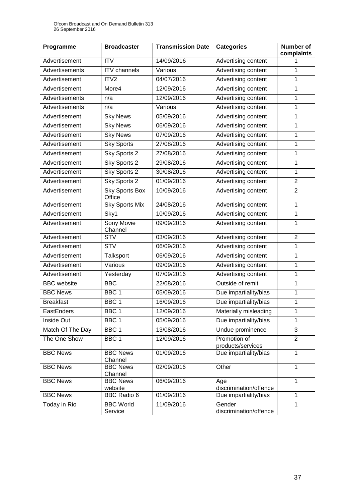| Programme          | <b>Broadcaster</b>              | <b>Transmission Date</b> | <b>Categories</b>                 | <b>Number of</b><br>complaints |
|--------------------|---------------------------------|--------------------------|-----------------------------------|--------------------------------|
| Advertisement      | <b>ITV</b>                      | 14/09/2016               | Advertising content               |                                |
| Advertisements     | <b>ITV</b> channels             | Various                  | Advertising content               | 1                              |
| Advertisement      | ITV2                            | 04/07/2016               | Advertising content               | 1                              |
| Advertisement      | More4                           | 12/09/2016               | Advertising content               | 1                              |
| Advertisements     | n/a                             | 12/09/2016               | Advertising content               | 1                              |
| Advertisements     | n/a                             | Various                  | Advertising content               | 1                              |
| Advertisement      | <b>Sky News</b>                 | 05/09/2016               | Advertising content               | 1                              |
| Advertisement      | <b>Sky News</b>                 | 06/09/2016               | Advertising content               | 1                              |
| Advertisement      | <b>Sky News</b>                 | 07/09/2016               | Advertising content               | 1                              |
| Advertisement      | <b>Sky Sports</b>               | 27/08/2016               | Advertising content               | 1                              |
| Advertisement      | Sky Sports 2                    | 27/08/2016               | Advertising content               | 1                              |
| Advertisement      | Sky Sports 2                    | 29/08/2016               | Advertising content               | 1                              |
| Advertisement      | <b>Sky Sports 2</b>             | 30/08/2016               | Advertising content               | 1                              |
| Advertisement      | <b>Sky Sports 2</b>             | 01/09/2016               | Advertising content               | $\overline{2}$                 |
| Advertisement      | <b>Sky Sports Box</b><br>Office | 10/09/2016               | Advertising content               | $\overline{2}$                 |
| Advertisement      | <b>Sky Sports Mix</b>           | 24/08/2016               | Advertising content               | 1                              |
| Advertisement      | Sky1                            | 10/09/2016               | Advertising content               | 1                              |
| Advertisement      | <b>Sony Movie</b><br>Channel    | 09/09/2016               | Advertising content               | 1                              |
| Advertisement      | <b>STV</b>                      | 03/09/2016               | Advertising content               | $\overline{2}$                 |
| Advertisement      | <b>STV</b>                      | 06/09/2016               | Advertising content               | 1                              |
| Advertisement      | Talksport                       | 06/09/2016               | Advertising content               | $\mathbf 1$                    |
| Advertisement      | Various                         | 09/09/2016               | Advertising content               | 1                              |
| Advertisement      | Yesterday                       | 07/09/2016               | Advertising content               | 1                              |
| <b>BBC</b> website | <b>BBC</b>                      | 22/08/2016               | Outside of remit                  | 1                              |
| <b>BBC News</b>    | BBC <sub>1</sub>                | 05/09/2016               | Due impartiality/bias             | 1                              |
| <b>Breakfast</b>   | BBC <sub>1</sub>                | 16/09/2016               | Due impartiality/bias             | 1                              |
| EastEnders         | BBC 1                           | 12/09/2016               | Materially misleading             | 1                              |
| Inside Out         | BBC <sub>1</sub>                | 05/09/2016               | Due impartiality/bias             | 1                              |
| Match Of The Day   | BBC 1                           | 13/08/2016               | Undue prominence                  | 3                              |
| The One Show       | BBC 1                           | 12/09/2016               | Promotion of<br>products/services | $\overline{2}$                 |
| <b>BBC News</b>    | <b>BBC News</b><br>Channel      | 01/09/2016               | Due impartiality/bias             | 1                              |
| <b>BBC News</b>    | <b>BBC News</b><br>Channel      | 02/09/2016               | Other                             | 1                              |
| <b>BBC News</b>    | <b>BBC News</b>                 | 06/09/2016               | Age                               | $\mathbf{1}$                   |
|                    | website                         |                          | discrimination/offence            |                                |
| <b>BBC News</b>    | <b>BBC Radio 6</b>              | 01/09/2016               | Due impartiality/bias             | $\mathbf{1}$                   |
| Today in Rio       | <b>BBC World</b><br>Service     | 11/09/2016               | Gender<br>discrimination/offence  | $\mathbf{1}$                   |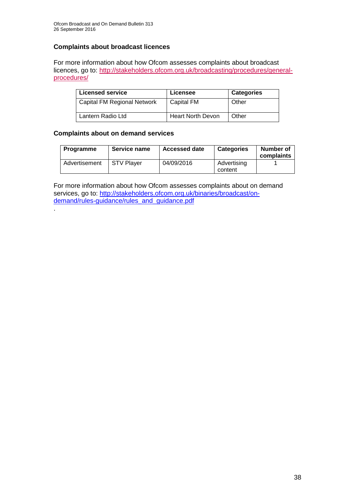### **Complaints about broadcast licences**

For more information about how Ofcom assesses complaints about broadcast licences, go to: [http://stakeholders.ofcom.org.uk/broadcasting/procedures/general](http://stakeholders.ofcom.org.uk/broadcasting/procedures/general-procedures/)[procedures/](http://stakeholders.ofcom.org.uk/broadcasting/procedures/general-procedures/)

| <b>Licensed service</b>     | Licensee                 | <b>Categories</b> |
|-----------------------------|--------------------------|-------------------|
| Capital FM Regional Network | Capital FM               | Other             |
| Lantern Radio Ltd           | <b>Heart North Devon</b> | Other             |

### **Complaints about on demand services**

.

| <b>Programme</b> | Service name      | <b>Accessed date</b> | <b>Categories</b>      | <b>Number of</b><br>complaints |
|------------------|-------------------|----------------------|------------------------|--------------------------------|
| Advertisement    | <b>STV Plaver</b> | 04/09/2016           | Advertising<br>content |                                |

For more information about how Ofcom assesses complaints about on demand services, go to: [http://stakeholders.ofcom.org.uk/binaries/broadcast/on](http://stakeholders.ofcom.org.uk/binaries/broadcast/on-demand/rules-guidance/rules_and_guidance.pdf)[demand/rules-guidance/rules\\_and\\_guidance.pdf](http://stakeholders.ofcom.org.uk/binaries/broadcast/on-demand/rules-guidance/rules_and_guidance.pdf)